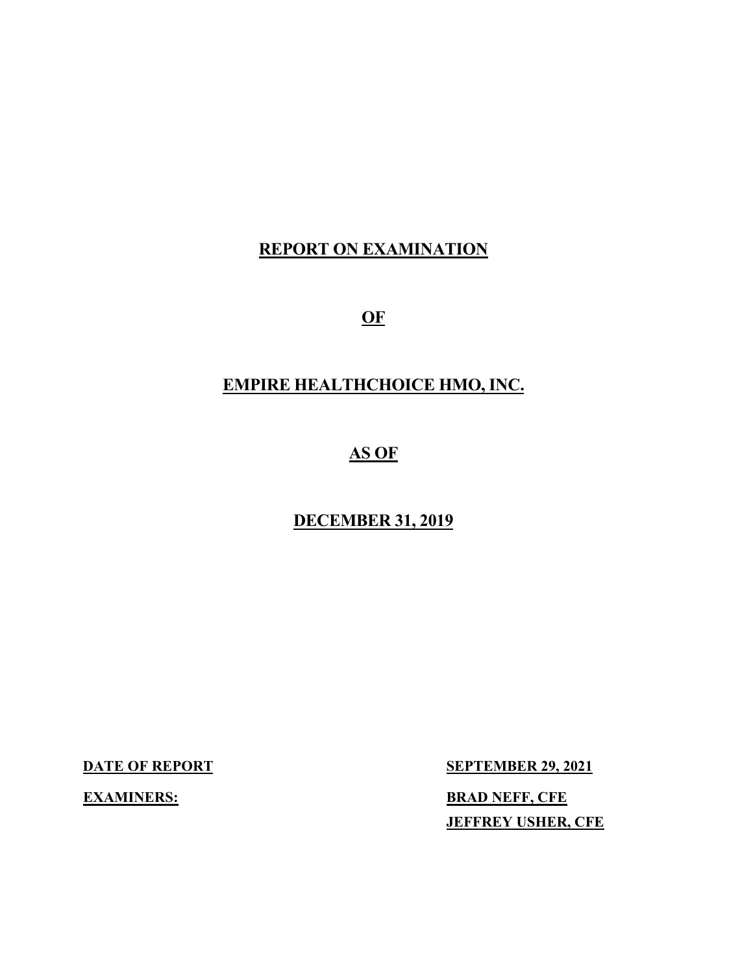## **REPORT ON EXAMINATION**

**OF** 

## **EMPIRE HEALTHCHOICE HMO, INC.**

**AS OF**

**DECEMBER 31, 2019**

**DATE OF REPORT SEPTEMBER 29, 2021 EXAMINERS:** BRAD NEFF, CFE **JEFFREY USHER, CFE**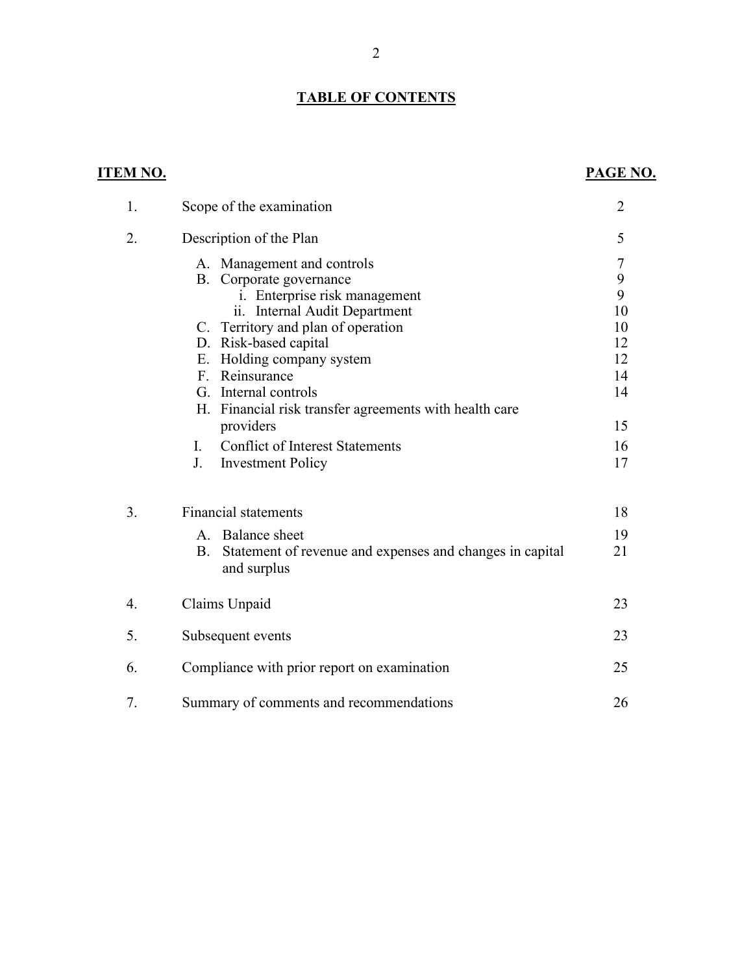## **TABLE OF CONTENTS**

## **ITEM NO. PAGE NO.**

| 1. | Scope of the examination                                                                                                                                                                                                                                                                                                                                                                                               | 2                                                                      |
|----|------------------------------------------------------------------------------------------------------------------------------------------------------------------------------------------------------------------------------------------------------------------------------------------------------------------------------------------------------------------------------------------------------------------------|------------------------------------------------------------------------|
| 2. | Description of the Plan                                                                                                                                                                                                                                                                                                                                                                                                | 5                                                                      |
|    | A. Management and controls<br>B. Corporate governance<br>i. Enterprise risk management<br>ii. Internal Audit Department<br>C. Territory and plan of operation<br>D. Risk-based capital<br>E. Holding company system<br>F. Reinsurance<br>G. Internal controls<br>H. Financial risk transfer agreements with health care<br>providers<br><b>Conflict of Interest Statements</b><br>L.<br>J.<br><b>Investment Policy</b> | $\tau$<br>9<br>9<br>10<br>10<br>12<br>12<br>14<br>14<br>15<br>16<br>17 |
| 3. | <b>Financial statements</b><br>A. Balance sheet<br>B. Statement of revenue and expenses and changes in capital                                                                                                                                                                                                                                                                                                         | 18<br>19<br>21                                                         |
| 4. | and surplus<br>Claims Unpaid                                                                                                                                                                                                                                                                                                                                                                                           | 23                                                                     |
| 5. | Subsequent events                                                                                                                                                                                                                                                                                                                                                                                                      | 23                                                                     |
| 6. | Compliance with prior report on examination                                                                                                                                                                                                                                                                                                                                                                            | 25                                                                     |
| 7. | Summary of comments and recommendations                                                                                                                                                                                                                                                                                                                                                                                | 26                                                                     |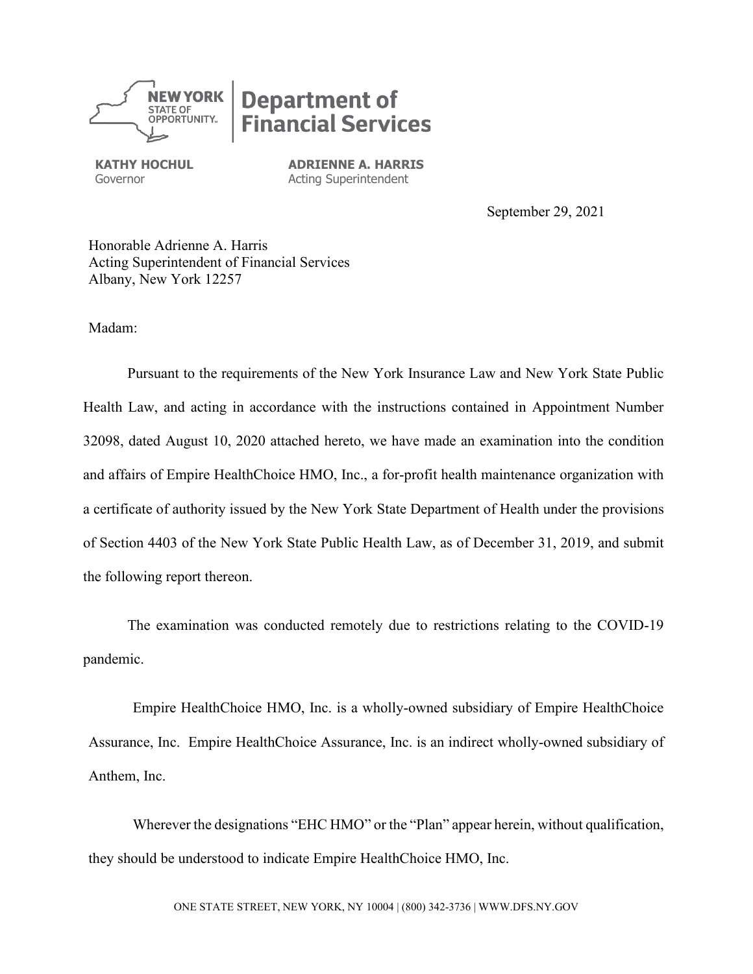

# **Department of Financial Services**

**KATHY HOCHUL** Governor

**ADRIENNE A. HARRIS** Acting Superintendent

September 29, 2021

Honorable Adrienne A. Harris Acting Superintendent of Financial Services Albany, New York 12257

Madam:

Pursuant to the requirements of the New York Insurance Law and New York State Public Health Law, and acting in accordance with the instructions contained in Appointment Number 32098, dated August 10, 2020 attached hereto, we have made an examination into the condition and affairs of Empire HealthChoice HMO, Inc., a for-profit health maintenance organization with a certificate of authority issued by the New York State Department of Health under the provisions of Section 4403 of the New York State Public Health Law, as of December 31, 2019, and submit the following report thereon.

The examination was conducted remotely due to restrictions relating to the COVID-19 pandemic.

Empire HealthChoice HMO, Inc. is a wholly-owned subsidiary of Empire HealthChoice Assurance, Inc. Empire HealthChoice Assurance, Inc. is an indirect wholly-owned subsidiary of Anthem, Inc.

Wherever the designations "EHC HMO" or the "Plan" appear herein, without qualification, they should be understood to indicate Empire HealthChoice HMO, Inc.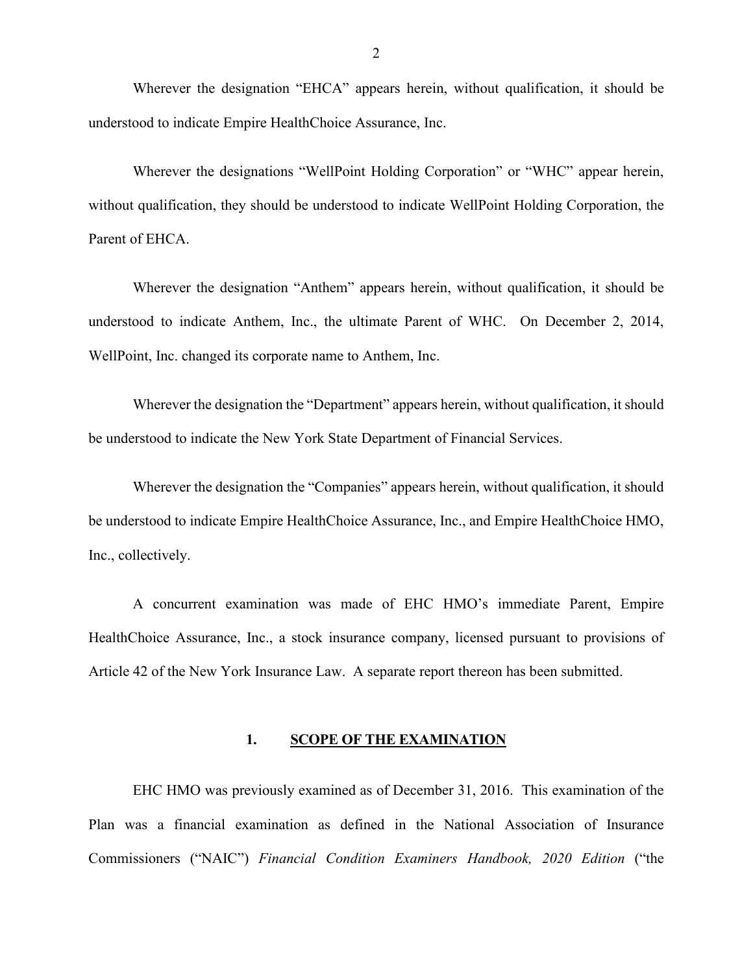Wherever the designation "EHCA" appears herein, without qualification, it should be understood to indicate Empire HealthChoice Assurance, Inc.

Wherever the designations "WellPoint Holding Corporation" or "WHC" appear herein, without qualification, they should be understood to indicate WellPoint Holding Corporation, the Parent of EHCA.

Wherever the designation "Anthem" appears herein, without qualification, it should be understood to indicate Anthem, Inc., the ultimate Parent of WHC. On December 2, 2014, WellPoint, Inc. changed its corporate name to Anthem, Inc.

Wherever the designation the "Department" appears herein, without qualification, it should be understood to indicate the New York State Department of Financial Services.

Wherever the designation the "Companies" appears herein, without qualification, it should be understood to indicate Empire HealthChoice Assurance, Inc., and Empire HealthChoice HMO, Inc., collectively.

A concurrent examination was made of EHC HMO's immediate Parent, Empire HealthChoice Assurance, Inc., a stock insurance company, licensed pursuant to provisions of Article 42 of the New York Insurance Law. A separate report thereon has been submitted.

#### **1. SCOPE OF THE EXAMINATION**

EHC HMO was previously examined as of December 31, 2016. This examination of the Plan was a financial examination as defined in the National Association of Insurance Commissioners ("NAIC") *Financial Condition Examiners Handbook, 2020 Edition* ("the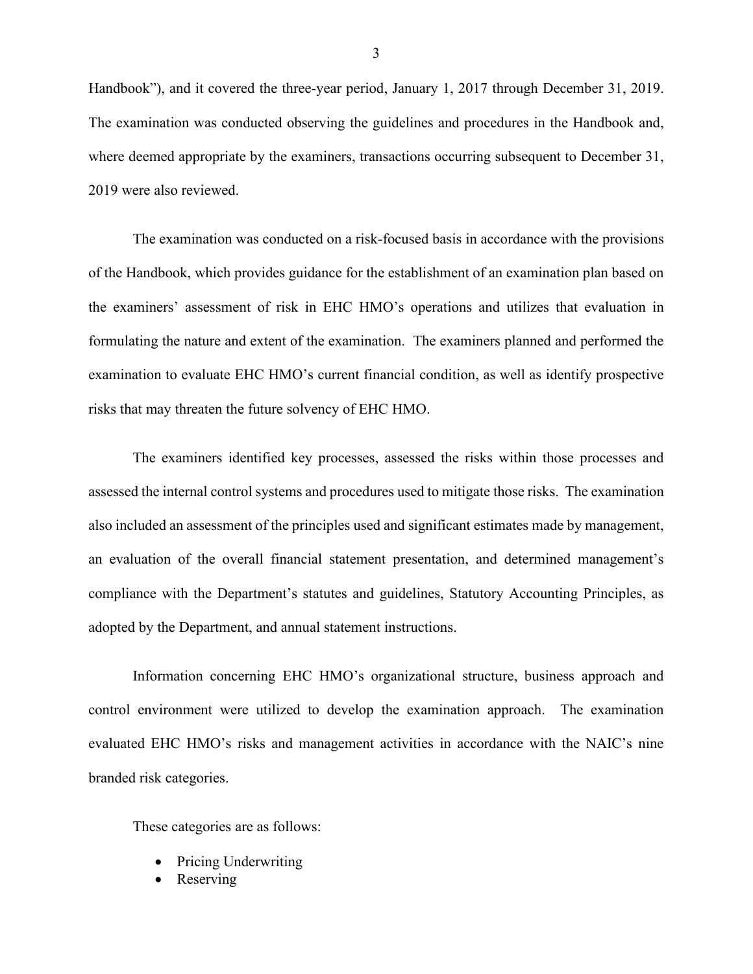Handbook"), and it covered the three-year period, January 1, 2017 through December 31, 2019. The examination was conducted observing the guidelines and procedures in the Handbook and, where deemed appropriate by the examiners, transactions occurring subsequent to December 31, 2019 were also reviewed.

The examination was conducted on a risk-focused basis in accordance with the provisions of the Handbook, which provides guidance for the establishment of an examination plan based on the examiners' assessment of risk in EHC HMO's operations and utilizes that evaluation in formulating the nature and extent of the examination. The examiners planned and performed the examination to evaluate EHC HMO's current financial condition, as well as identify prospective risks that may threaten the future solvency of EHC HMO.

The examiners identified key processes, assessed the risks within those processes and assessed the internal control systems and procedures used to mitigate those risks. The examination also included an assessment of the principles used and significant estimates made by management, an evaluation of the overall financial statement presentation, and determined management's compliance with the Department's statutes and guidelines, Statutory Accounting Principles, as adopted by the Department, and annual statement instructions.

Information concerning EHC HMO's organizational structure, business approach and control environment were utilized to develop the examination approach. The examination evaluated EHC HMO's risks and management activities in accordance with the NAIC's nine branded risk categories.

These categories are as follows:

- Pricing Underwriting
- **Reserving**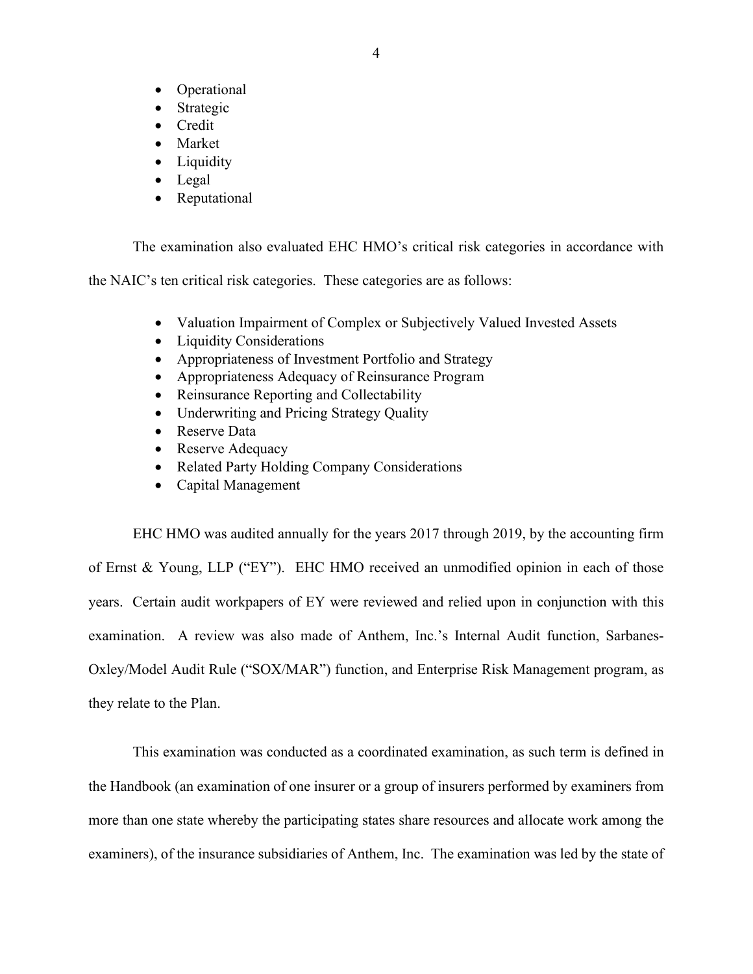- Operational
- Strategic
- Credit
- Market
- Liquidity
- Legal
- Reputational

The examination also evaluated EHC HMO's critical risk categories in accordance with

the NAIC's ten critical risk categories. These categories are as follows:

- Valuation Impairment of Complex or Subjectively Valued Invested Assets
- Liquidity Considerations
- Appropriateness of Investment Portfolio and Strategy
- Appropriateness Adequacy of Reinsurance Program
- Reinsurance Reporting and Collectability
- Underwriting and Pricing Strategy Quality
- Reserve Data
- Reserve Adequacy
- Related Party Holding Company Considerations
- Capital Management

EHC HMO was audited annually for the years 2017 through 2019, by the accounting firm of Ernst & Young, LLP ("EY"). EHC HMO received an unmodified opinion in each of those years. Certain audit workpapers of EY were reviewed and relied upon in conjunction with this examination. A review was also made of Anthem, Inc.'s Internal Audit function, Sarbanes-Oxley/Model Audit Rule ("SOX/MAR") function, and Enterprise Risk Management program, as they relate to the Plan.

This examination was conducted as a coordinated examination, as such term is defined in the Handbook (an examination of one insurer or a group of insurers performed by examiners from more than one state whereby the participating states share resources and allocate work among the examiners), of the insurance subsidiaries of Anthem, Inc. The examination was led by the state of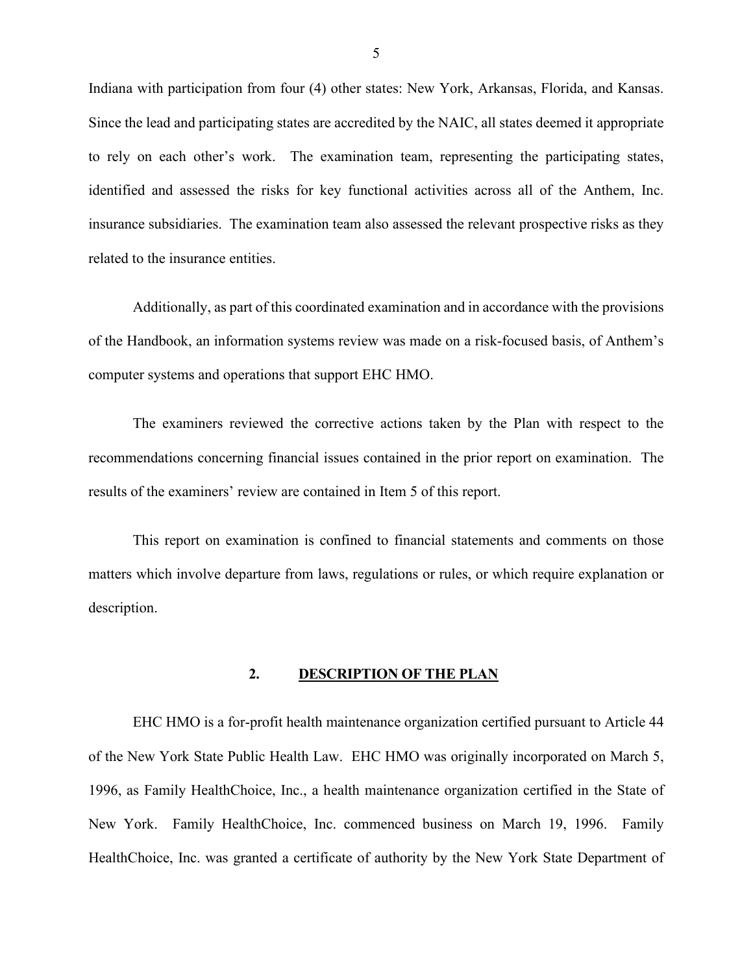Indiana with participation from four (4) other states: New York, Arkansas, Florida, and Kansas. Since the lead and participating states are accredited by the NAIC, all states deemed it appropriate to rely on each other's work. The examination team, representing the participating states, identified and assessed the risks for key functional activities across all of the Anthem, Inc. insurance subsidiaries. The examination team also assessed the relevant prospective risks as they related to the insurance entities.

Additionally, as part of this coordinated examination and in accordance with the provisions of the Handbook, an information systems review was made on a risk-focused basis, of Anthem's computer systems and operations that support EHC HMO.

The examiners reviewed the corrective actions taken by the Plan with respect to the recommendations concerning financial issues contained in the prior report on examination. The results of the examiners' review are contained in Item 5 of this report.

This report on examination is confined to financial statements and comments on those matters which involve departure from laws, regulations or rules, or which require explanation or description.

#### **2. DESCRIPTION OF THE PLAN**

EHC HMO is a for-profit health maintenance organization certified pursuant to Article 44 of the New York State Public Health Law. EHC HMO was originally incorporated on March 5, 1996, as Family HealthChoice, Inc., a health maintenance organization certified in the State of New York. Family HealthChoice, Inc. commenced business on March 19, 1996. Family HealthChoice, Inc. was granted a certificate of authority by the New York State Department of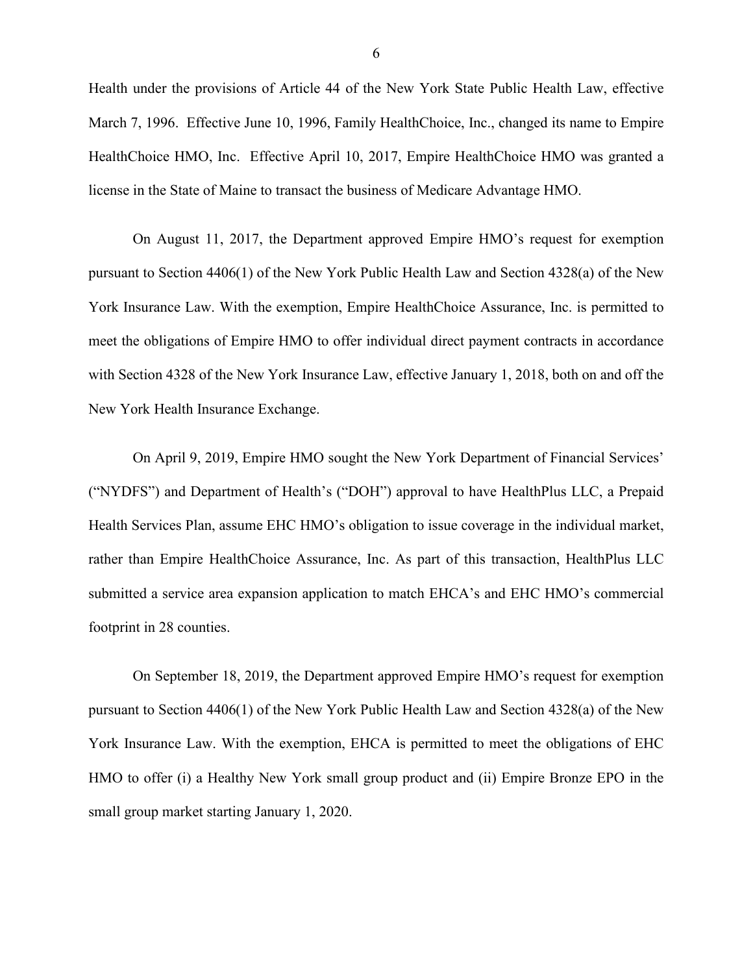Health under the provisions of Article 44 of the New York State Public Health Law, effective March 7, 1996. Effective June 10, 1996, Family HealthChoice, Inc., changed its name to Empire HealthChoice HMO, Inc. Effective April 10, 2017, Empire HealthChoice HMO was granted a license in the State of Maine to transact the business of Medicare Advantage HMO.

On August 11, 2017, the Department approved Empire HMO's request for exemption pursuant to Section 4406(1) of the New York Public Health Law and Section 4328(a) of the New York Insurance Law. With the exemption, Empire HealthChoice Assurance, Inc. is permitted to meet the obligations of Empire HMO to offer individual direct payment contracts in accordance with Section 4328 of the New York Insurance Law, effective January 1, 2018, both on and off the New York Health Insurance Exchange.

On April 9, 2019, Empire HMO sought the New York Department of Financial Services' ("NYDFS") and Department of Health's ("DOH") approval to have HealthPlus LLC, a Prepaid Health Services Plan, assume EHC HMO's obligation to issue coverage in the individual market, rather than Empire HealthChoice Assurance, Inc. As part of this transaction, HealthPlus LLC submitted a service area expansion application to match EHCA's and EHC HMO's commercial footprint in 28 counties.

On September 18, 2019, the Department approved Empire HMO's request for exemption pursuant to Section 4406(1) of the New York Public Health Law and Section 4328(a) of the New York Insurance Law. With the exemption, EHCA is permitted to meet the obligations of EHC HMO to offer (i) a Healthy New York small group product and (ii) Empire Bronze EPO in the small group market starting January 1, 2020.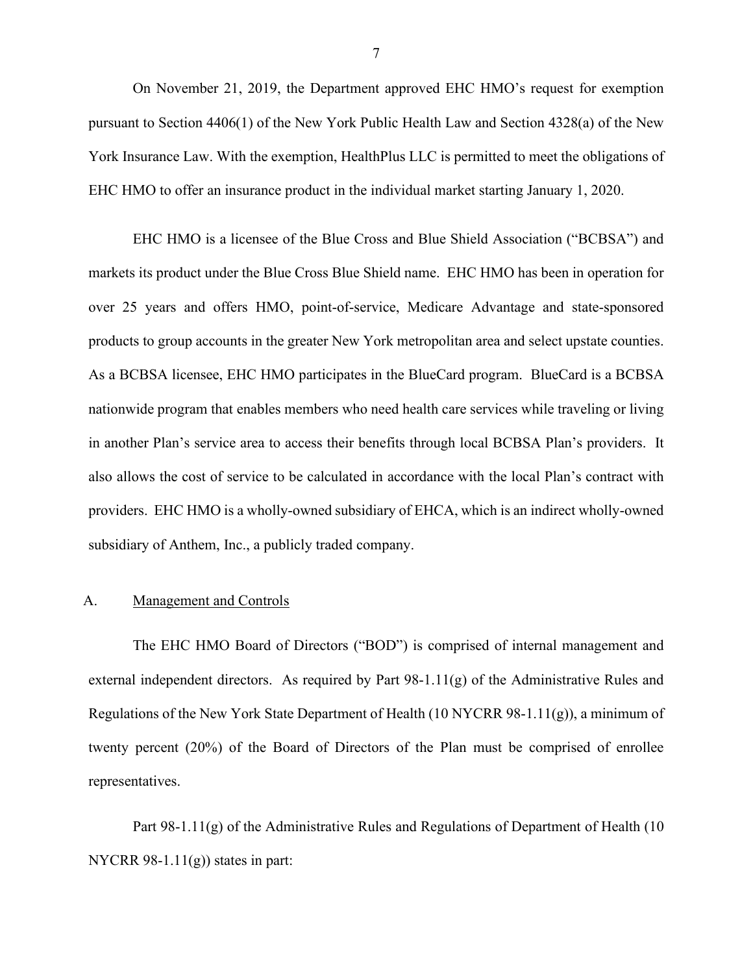On November 21, 2019, the Department approved EHC HMO's request for exemption pursuant to Section 4406(1) of the New York Public Health Law and Section 4328(a) of the New York Insurance Law. With the exemption, HealthPlus LLC is permitted to meet the obligations of EHC HMO to offer an insurance product in the individual market starting January 1, 2020.

EHC HMO is a licensee of the Blue Cross and Blue Shield Association ("BCBSA") and markets its product under the Blue Cross Blue Shield name. EHC HMO has been in operation for over 25 years and offers HMO, point-of-service, Medicare Advantage and state-sponsored products to group accounts in the greater New York metropolitan area and select upstate counties. As a BCBSA licensee, EHC HMO participates in the BlueCard program. BlueCard is a BCBSA nationwide program that enables members who need health care services while traveling or living in another Plan's service area to access their benefits through local BCBSA Plan's providers. It also allows the cost of service to be calculated in accordance with the local Plan's contract with providers. EHC HMO is a wholly-owned subsidiary of EHCA, which is an indirect wholly-owned subsidiary of Anthem, Inc., a publicly traded company.

#### A. Management and Controls

The EHC HMO Board of Directors ("BOD") is comprised of internal management and external independent directors. As required by Part 98-1.11(g) of the Administrative Rules and Regulations of the New York State Department of Health (10 NYCRR 98-1.11(g)), a minimum of twenty percent (20%) of the Board of Directors of the Plan must be comprised of enrollee representatives.

Part 98-1.11(g) of the Administrative Rules and Regulations of Department of Health (10 NYCRR 98-1.11(g)) states in part:

7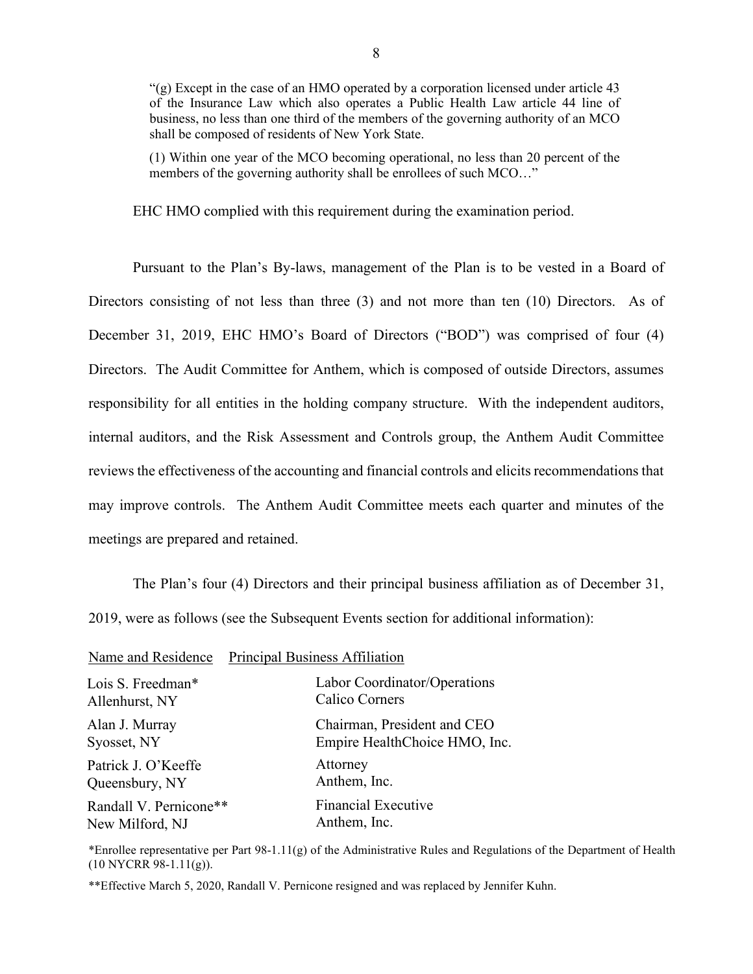"(g) Except in the case of an HMO operated by a corporation licensed under article 43 of the Insurance Law which also operates a Public Health Law article 44 line of business, no less than one third of the members of the governing authority of an MCO shall be composed of residents of New York State.

(1) Within one year of the MCO becoming operational, no less than 20 percent of the members of the governing authority shall be enrollees of such MCO..."

EHC HMO complied with this requirement during the examination period.

Pursuant to the Plan's By-laws, management of the Plan is to be vested in a Board of Directors consisting of not less than three (3) and not more than ten (10) Directors. As of December 31, 2019, EHC HMO's Board of Directors ("BOD") was comprised of four (4) Directors. The Audit Committee for Anthem, which is composed of outside Directors, assumes responsibility for all entities in the holding company structure. With the independent auditors, internal auditors, and the Risk Assessment and Controls group, the Anthem Audit Committee reviews the effectiveness of the accounting and financial controls and elicits recommendations that may improve controls. The Anthem Audit Committee meets each quarter and minutes of the meetings are prepared and retained.

The Plan's four (4) Directors and their principal business affiliation as of December 31, 2019, were as follows (see the Subsequent Events section for additional information):

|                        | Name and Residence Principal Business Affiliation |  |  |
|------------------------|---------------------------------------------------|--|--|
| Lois S. Freedman*      | Labor Coordinator/Operations                      |  |  |
| Allenhurst, NY         | Calico Corners                                    |  |  |
| Alan J. Murray         | Chairman, President and CEO                       |  |  |
| Syosset, NY            | Empire HealthChoice HMO, Inc.                     |  |  |
| Patrick J. O'Keeffe    | Attorney                                          |  |  |
| Queensbury, NY         | Anthem, Inc.                                      |  |  |
| Randall V. Pernicone** | <b>Financial Executive</b>                        |  |  |
| New Milford, NJ        | Anthem, Inc.                                      |  |  |

\*Enrollee representative per Part  $98-1.11(g)$  of the Administrative Rules and Regulations of the Department of Health (10 NYCRR 98-1.11(g)).

\*\*Effective March 5, 2020, Randall V. Pernicone resigned and was replaced by Jennifer Kuhn.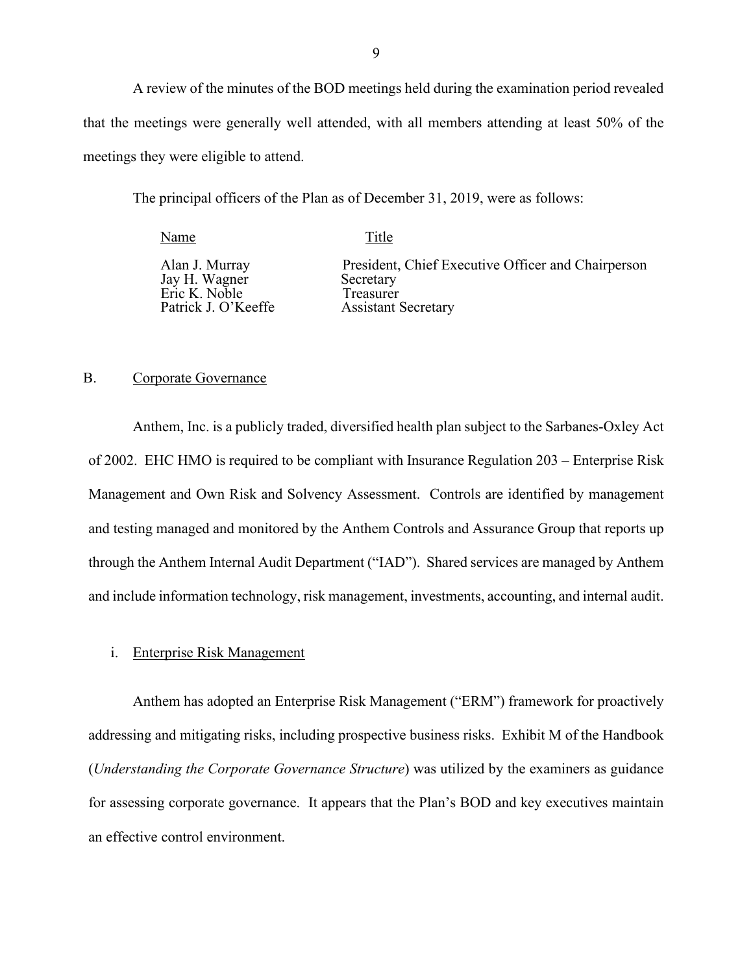A review of the minutes of the BOD meetings held during the examination period revealed that the meetings were generally well attended, with all members attending at least 50% of the meetings they were eligible to attend.

The principal officers of the Plan as of December 31, 2019, were as follows:

Name Title Jay H. Wagner Secretary Eric K. Noble Treasurer

Alan J. Murray President, Chief Executive Officer and Chairperson<br>Jav H. Wagner Secretary Patrick J. O'Keeffe **Assistant Secretary** 

#### B. Corporate Governance

Anthem, Inc. is a publicly traded, diversified health plan subject to the Sarbanes-Oxley Act of 2002. EHC HMO is required to be compliant with Insurance Regulation 203 – Enterprise Risk Management and Own Risk and Solvency Assessment. Controls are identified by management and testing managed and monitored by the Anthem Controls and Assurance Group that reports up through the Anthem Internal Audit Department ("IAD"). Shared services are managed by Anthem and include information technology, risk management, investments, accounting, and internal audit.

#### i. Enterprise Risk Management

Anthem has adopted an Enterprise Risk Management ("ERM") framework for proactively addressing and mitigating risks, including prospective business risks. Exhibit M of the Handbook (*Understanding the Corporate Governance Structure*) was utilized by the examiners as guidance for assessing corporate governance. It appears that the Plan's BOD and key executives maintain an effective control environment.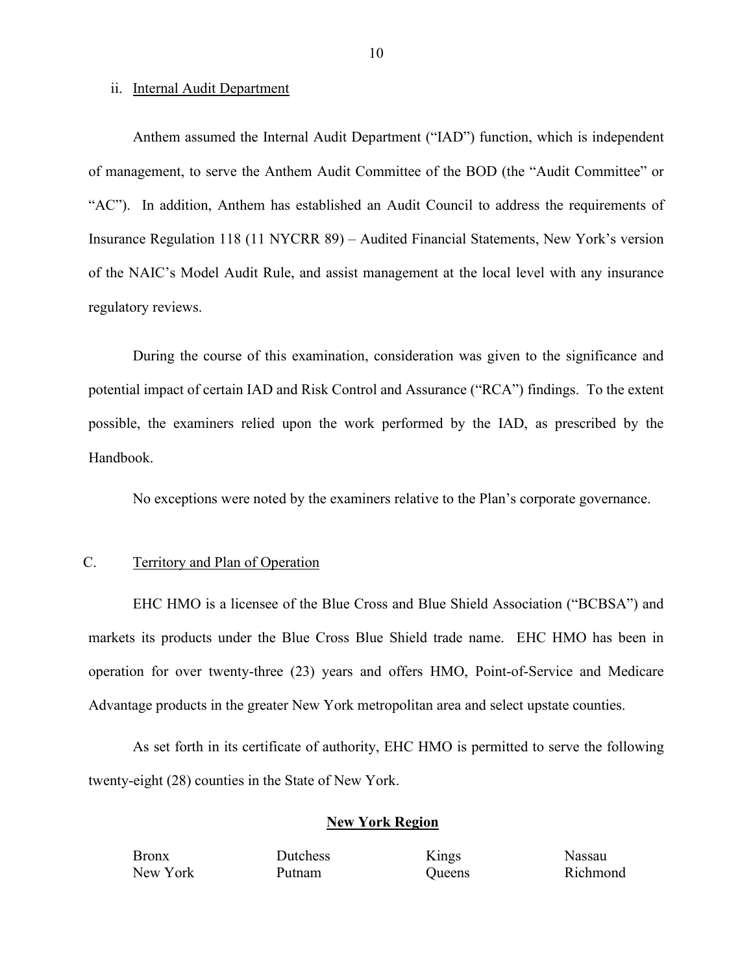#### ii. Internal Audit Department

Anthem assumed the Internal Audit Department ("IAD") function, which is independent of management, to serve the Anthem Audit Committee of the BOD (the "Audit Committee" or "AC"). In addition, Anthem has established an Audit Council to address the requirements of Insurance Regulation 118 (11 NYCRR 89) – Audited Financial Statements, New York's version of the NAIC's Model Audit Rule, and assist management at the local level with any insurance regulatory reviews.

During the course of this examination, consideration was given to the significance and potential impact of certain IAD and Risk Control and Assurance ("RCA") findings. To the extent possible, the examiners relied upon the work performed by the IAD, as prescribed by the Handbook.

No exceptions were noted by the examiners relative to the Plan's corporate governance.

#### C. Territory and Plan of Operation

EHC HMO is a licensee of the Blue Cross and Blue Shield Association ("BCBSA") and markets its products under the Blue Cross Blue Shield trade name. EHC HMO has been in operation for over twenty-three (23) years and offers HMO, Point-of-Service and Medicare Advantage products in the greater New York metropolitan area and select upstate counties.

As set forth in its certificate of authority, EHC HMO is permitted to serve the following twenty-eight (28) counties in the State of New York.

#### **New York Region**

Bronx Dutchess Kings Nassau

New York Putnam Queens Richmond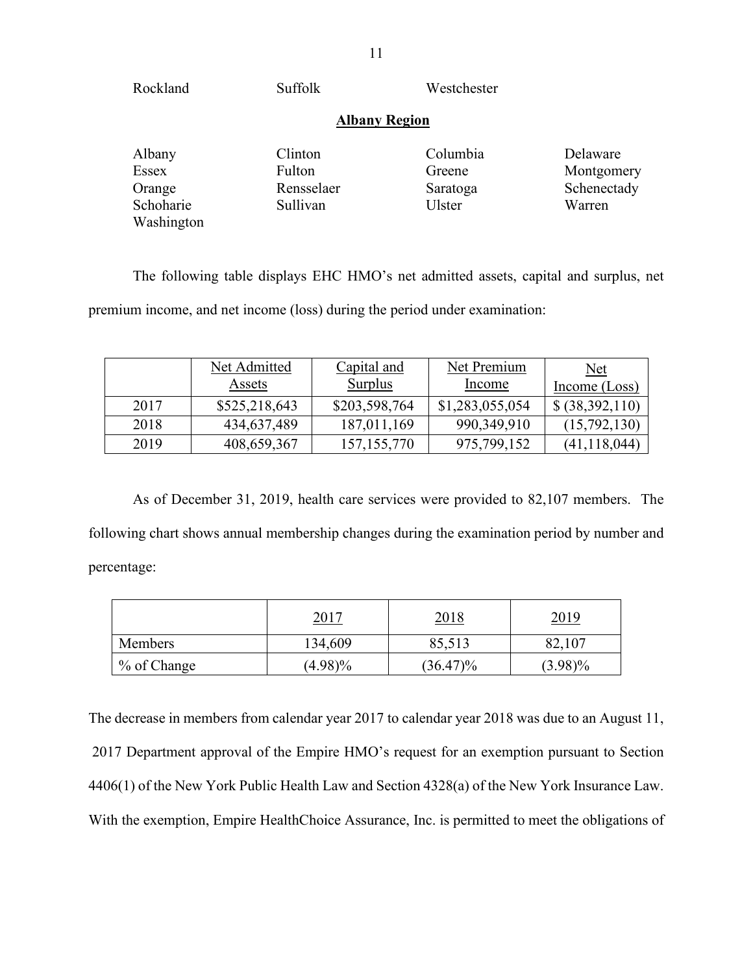| Rockland   | Suffolk    | Westchester          |             |
|------------|------------|----------------------|-------------|
|            |            | <b>Albany Region</b> |             |
| Albany     | Clinton    | Columbia             | Delaware    |
| Essex      | Fulton     | Greene               | Montgomery  |
| Orange     | Rensselaer | Saratoga             | Schenectady |
| Schoharie  | Sullivan   | Ulster               | Warren      |
| Washington |            |                      |             |

The following table displays EHC HMO's net admitted assets, capital and surplus, net

premium income, and net income (loss) during the period under examination:

|      | Net Admitted  | Capital and    | Net Premium     | Net             |
|------|---------------|----------------|-----------------|-----------------|
|      | Assets        | <b>Surplus</b> | Income          | Income $(Loss)$ |
| 2017 | \$525,218,643 | \$203,598,764  | \$1,283,055,054 | \$ (38,392,110) |
| 2018 | 434,637,489   | 187,011,169    | 990,349,910     | (15,792,130)    |
| 2019 | 408,659,367   | 157, 155, 770  | 975,799,152     | (41, 118, 044)  |

As of December 31, 2019, health care services were provided to 82,107 members. The following chart shows annual membership changes during the examination period by number and percentage:

|                | 2017       | <u>2018</u> | <u>2019</u> |
|----------------|------------|-------------|-------------|
| <b>Members</b> | 134,609    | 85,513      | 82,107      |
| % of Change    | $(4.98)\%$ | $(36.47)\%$ | $(3.98)\%$  |

The decrease in members from calendar year 2017 to calendar year 2018 was due to an August 11, 2017 Department approval of the Empire HMO's request for an exemption pursuant to Section 4406(1) of the New York Public Health Law and Section 4328(a) of the New York Insurance Law. With the exemption, Empire HealthChoice Assurance, Inc. is permitted to meet the obligations of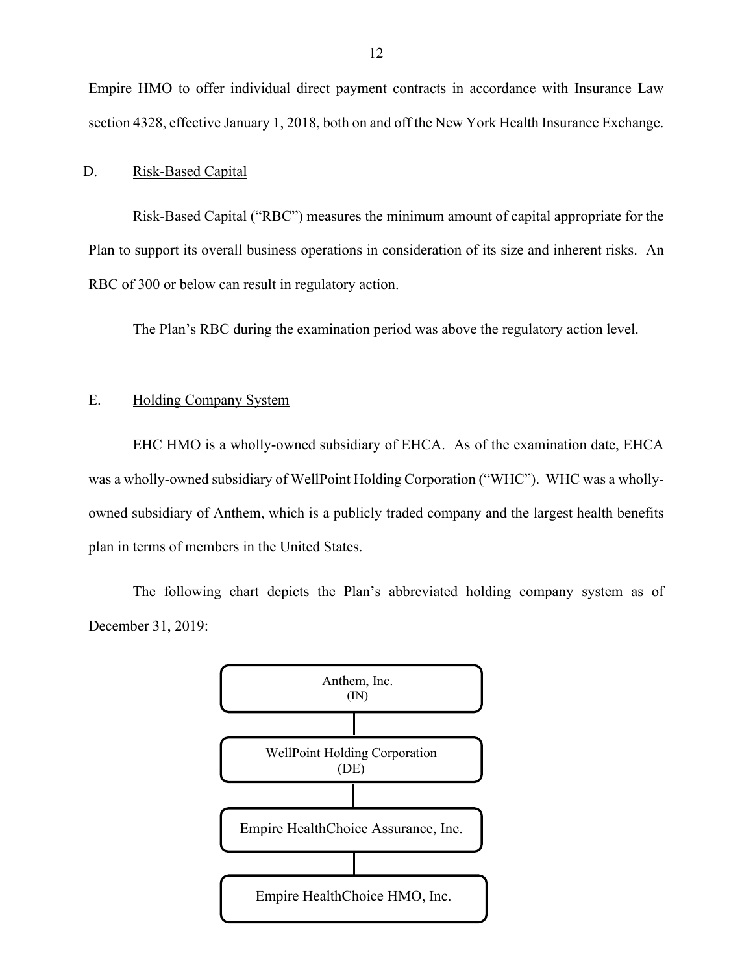Empire HMO to offer individual direct payment contracts in accordance with Insurance Law section 4328, effective January 1, 2018, both on and off the New York Health Insurance Exchange.

#### D. Risk-Based Capital

Risk-Based Capital ("RBC") measures the minimum amount of capital appropriate for the Plan to support its overall business operations in consideration of its size and inherent risks. An RBC of 300 or below can result in regulatory action.

The Plan's RBC during the examination period was above the regulatory action level.

#### E. Holding Company System

EHC HMO is a wholly-owned subsidiary of EHCA. As of the examination date, EHCA was a wholly-owned subsidiary of WellPoint Holding Corporation ("WHC"). WHC was a whollyowned subsidiary of Anthem, which is a publicly traded company and the largest health benefits plan in terms of members in the United States.

The following chart depicts the Plan's abbreviated holding company system as of December 31, 2019:

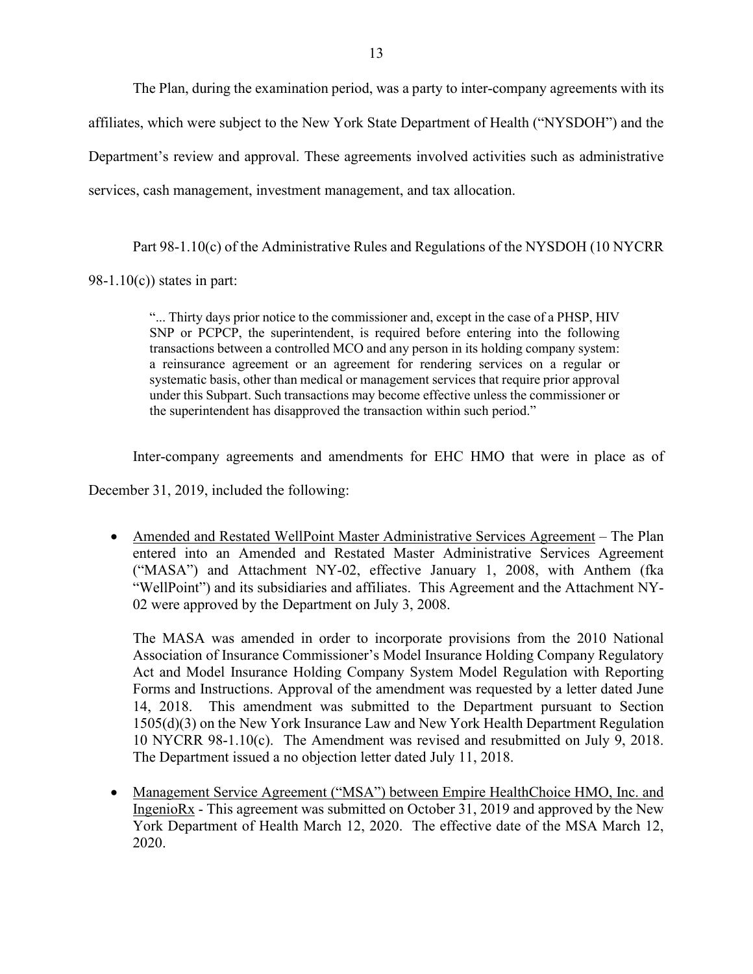The Plan, during the examination period, was a party to inter-company agreements with its affiliates, which were subject to the New York State Department of Health ("NYSDOH") and the Department's review and approval. These agreements involved activities such as administrative services, cash management, investment management, and tax allocation.

Part 98-1.10(c) of the Administrative Rules and Regulations of the NYSDOH (10 NYCRR

 $98-1.10(c)$ ) states in part:

"... Thirty days prior notice to the commissioner and, except in the case of a PHSP, HIV SNP or PCPCP, the superintendent, is required before entering into the following transactions between a controlled MCO and any person in its holding company system: a reinsurance agreement or an agreement for rendering services on a regular or systematic basis, other than medical or management services that require prior approval under this Subpart. Such transactions may become effective unless the commissioner or the superintendent has disapproved the transaction within such period."

Inter-company agreements and amendments for EHC HMO that were in place as of

December 31, 2019, included the following:

• Amended and Restated WellPoint Master Administrative Services Agreement – The Plan entered into an Amended and Restated Master Administrative Services Agreement ("MASA") and Attachment NY-02, effective January 1, 2008, with Anthem (fka "WellPoint") and its subsidiaries and affiliates. This Agreement and the Attachment NY-02 were approved by the Department on July 3, 2008.

The MASA was amended in order to incorporate provisions from the 2010 National Association of Insurance Commissioner's Model Insurance Holding Company Regulatory Act and Model Insurance Holding Company System Model Regulation with Reporting Forms and Instructions. Approval of the amendment was requested by a letter dated June 14, 2018. This amendment was submitted to the Department pursuant to Section 1505(d)(3) on the New York Insurance Law and New York Health Department Regulation 10 NYCRR 98-1.10(c). The Amendment was revised and resubmitted on July 9, 2018. The Department issued a no objection letter dated July 11, 2018.

• Management Service Agreement ("MSA") between Empire HealthChoice HMO, Inc. and IngenioRx - This agreement was submitted on October 31, 2019 and approved by the New York Department of Health March 12, 2020. The effective date of the MSA March 12, 2020.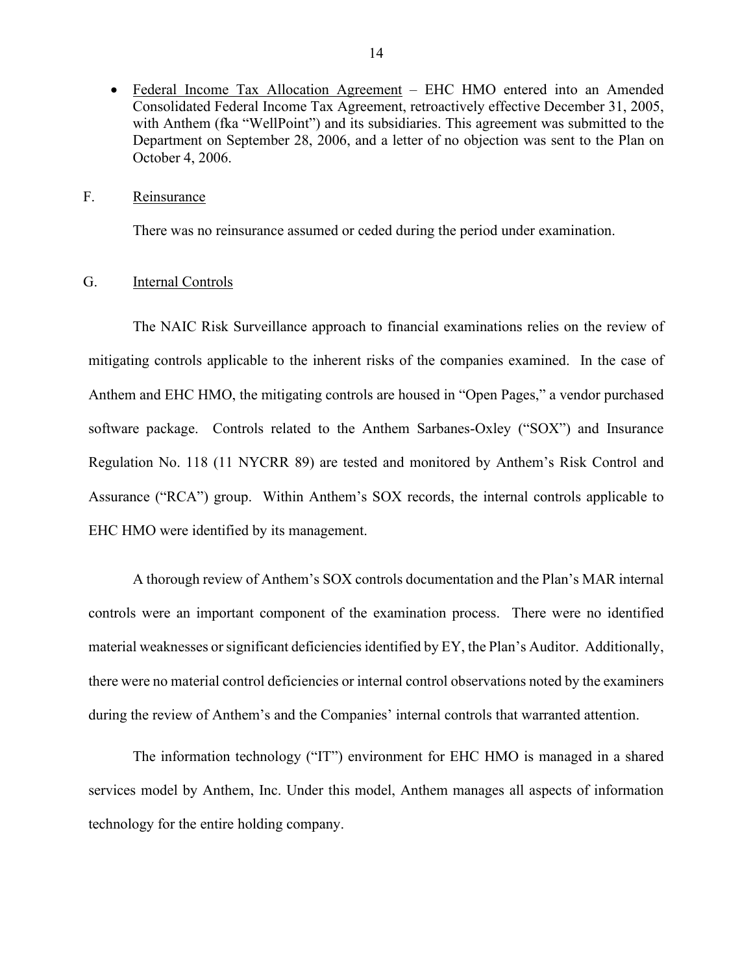• Federal Income Tax Allocation Agreement – EHC HMO entered into an Amended Consolidated Federal Income Tax Agreement, retroactively effective December 31, 2005, with Anthem (fka "WellPoint") and its subsidiaries. This agreement was submitted to the Department on September 28, 2006, and a letter of no objection was sent to the Plan on October 4, 2006.

#### F. Reinsurance

There was no reinsurance assumed or ceded during the period under examination.

#### G. Internal Controls

The NAIC Risk Surveillance approach to financial examinations relies on the review of mitigating controls applicable to the inherent risks of the companies examined. In the case of Anthem and EHC HMO, the mitigating controls are housed in "Open Pages," a vendor purchased software package. Controls related to the Anthem Sarbanes-Oxley ("SOX") and Insurance Regulation No. 118 (11 NYCRR 89) are tested and monitored by Anthem's Risk Control and Assurance ("RCA") group. Within Anthem's SOX records, the internal controls applicable to EHC HMO were identified by its management.

A thorough review of Anthem's SOX controls documentation and the Plan's MAR internal controls were an important component of the examination process. There were no identified material weaknesses or significant deficiencies identified by EY, the Plan's Auditor. Additionally, there were no material control deficiencies or internal control observations noted by the examiners during the review of Anthem's and the Companies' internal controls that warranted attention.

The information technology ("IT") environment for EHC HMO is managed in a shared services model by Anthem, Inc. Under this model, Anthem manages all aspects of information technology for the entire holding company.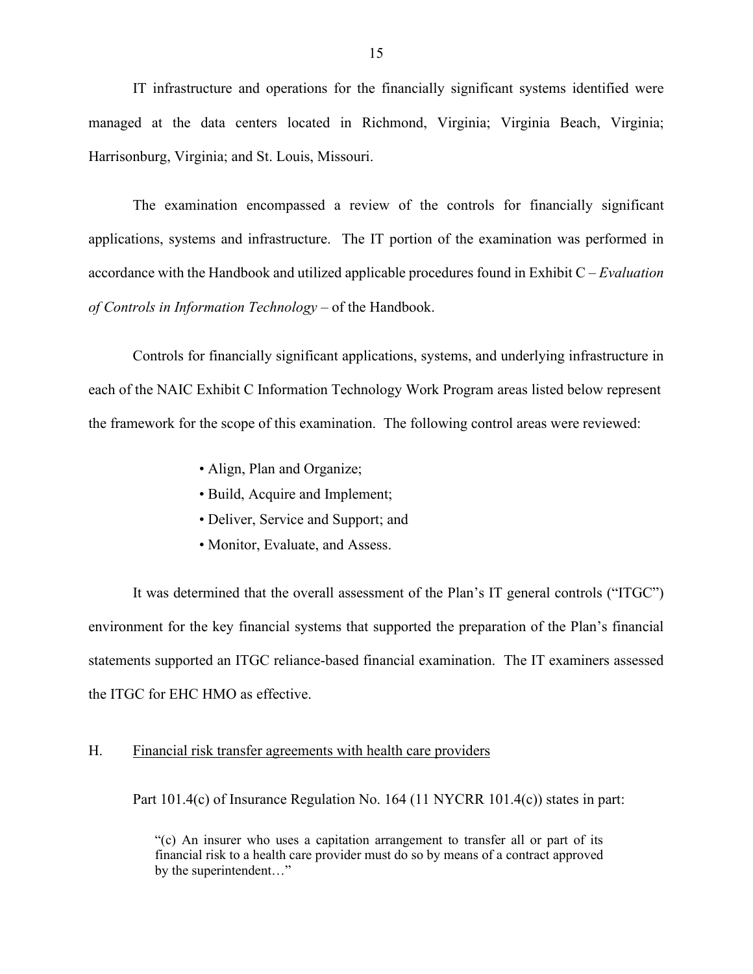IT infrastructure and operations for the financially significant systems identified were managed at the data centers located in Richmond, Virginia; Virginia Beach, Virginia; Harrisonburg, Virginia; and St. Louis, Missouri.

The examination encompassed a review of the controls for financially significant applications, systems and infrastructure. The IT portion of the examination was performed in accordance with the Handbook and utilized applicable procedures found in Exhibit C – *Evaluation of Controls in Information Technology* – of the Handbook.

Controls for financially significant applications, systems, and underlying infrastructure in each of the NAIC Exhibit C Information Technology Work Program areas listed below represent the framework for the scope of this examination. The following control areas were reviewed:

- Align, Plan and Organize;
- Build, Acquire and Implement;
- Deliver, Service and Support; and
- Monitor, Evaluate, and Assess.

It was determined that the overall assessment of the Plan's IT general controls ("ITGC") environment for the key financial systems that supported the preparation of the Plan's financial statements supported an ITGC reliance-based financial examination. The IT examiners assessed the ITGC for EHC HMO as effective.

#### H. Financial risk transfer agreements with health care providers

Part 101.4(c) of Insurance Regulation No. 164 (11 NYCRR 101.4(c)) states in part:

"(c) An insurer who uses a capitation arrangement to transfer all or part of its financial risk to a health care provider must do so by means of a contract approved by the superintendent…"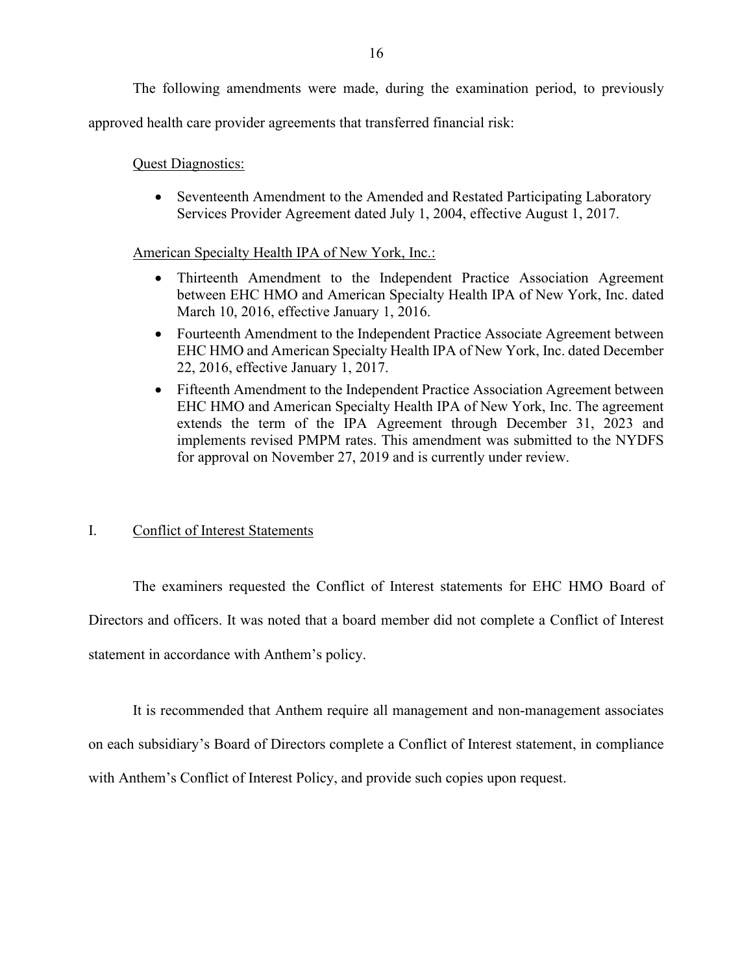The following amendments were made, during the examination period, to previously approved health care provider agreements that transferred financial risk:

#### Quest Diagnostics:

• Seventeenth Amendment to the Amended and Restated Participating Laboratory Services Provider Agreement dated July 1, 2004, effective August 1, 2017.

#### American Specialty Health IPA of New York, Inc.:

- Thirteenth Amendment to the Independent Practice Association Agreement between EHC HMO and American Specialty Health IPA of New York, Inc. dated March 10, 2016, effective January 1, 2016.
- Fourteenth Amendment to the Independent Practice Associate Agreement between EHC HMO and American Specialty Health IPA of New York, Inc. dated December 22, 2016, effective January 1, 2017.
- Fifteenth Amendment to the Independent Practice Association Agreement between EHC HMO and American Specialty Health IPA of New York, Inc. The agreement extends the term of the IPA Agreement through December 31, 2023 and implements revised PMPM rates. This amendment was submitted to the NYDFS for approval on November 27, 2019 and is currently under review.

#### I. Conflict of Interest Statements

The examiners requested the Conflict of Interest statements for EHC HMO Board of Directors and officers. It was noted that a board member did not complete a Conflict of Interest statement in accordance with Anthem's policy.

It is recommended that Anthem require all management and non-management associates on each subsidiary's Board of Directors complete a Conflict of Interest statement, in compliance with Anthem's Conflict of Interest Policy, and provide such copies upon request.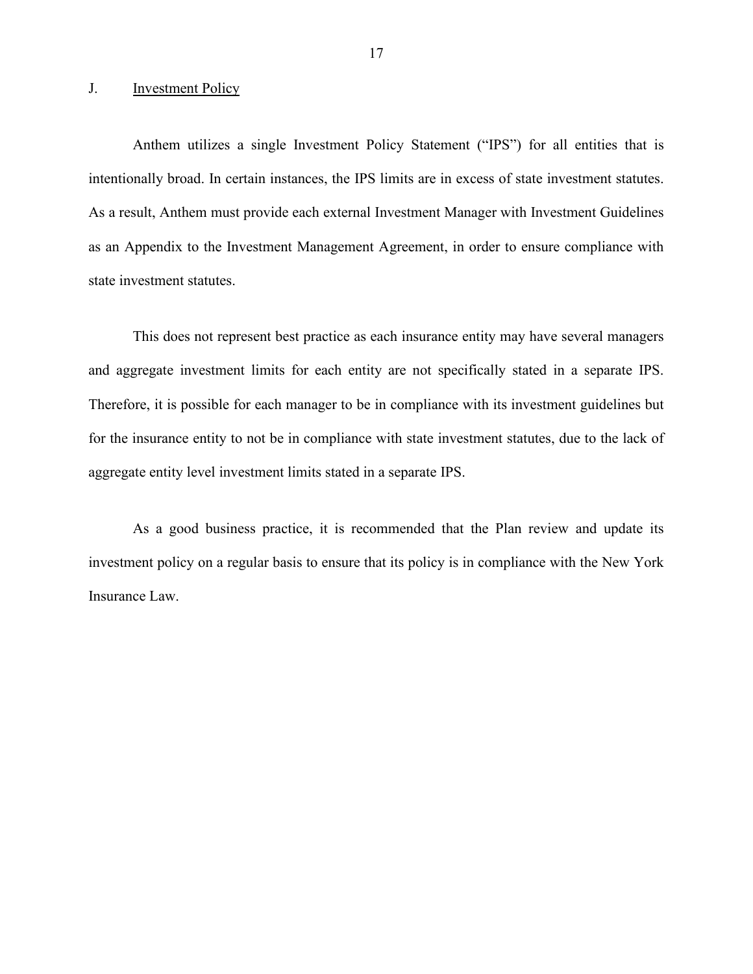#### J. Investment Policy

Anthem utilizes a single Investment Policy Statement ("IPS") for all entities that is intentionally broad. In certain instances, the IPS limits are in excess of state investment statutes. As a result, Anthem must provide each external Investment Manager with Investment Guidelines as an Appendix to the Investment Management Agreement, in order to ensure compliance with state investment statutes.

This does not represent best practice as each insurance entity may have several managers and aggregate investment limits for each entity are not specifically stated in a separate IPS. Therefore, it is possible for each manager to be in compliance with its investment guidelines but for the insurance entity to not be in compliance with state investment statutes, due to the lack of aggregate entity level investment limits stated in a separate IPS.

As a good business practice, it is recommended that the Plan review and update its investment policy on a regular basis to ensure that its policy is in compliance with the New York Insurance Law.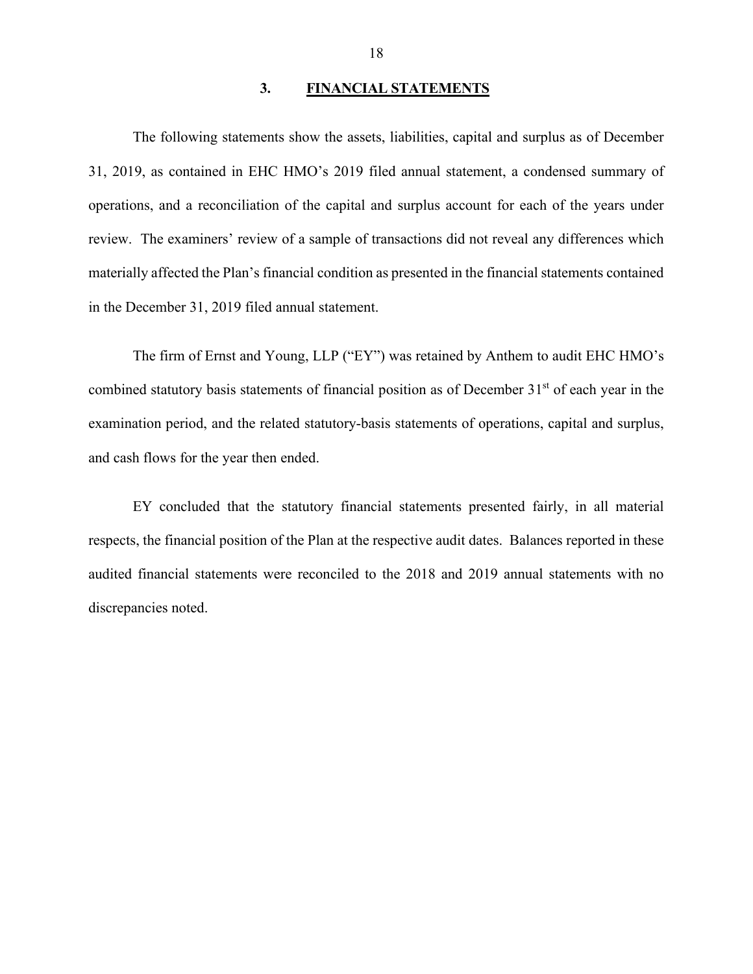#### **3. FINANCIAL STATEMENTS**

The following statements show the assets, liabilities, capital and surplus as of December 31, 2019, as contained in EHC HMO's 2019 filed annual statement, a condensed summary of operations, and a reconciliation of the capital and surplus account for each of the years under review. The examiners' review of a sample of transactions did not reveal any differences which materially affected the Plan's financial condition as presented in the financial statements contained in the December 31, 2019 filed annual statement.

The firm of Ernst and Young, LLP ("EY") was retained by Anthem to audit EHC HMO's combined statutory basis statements of financial position as of December 31<sup>st</sup> of each year in the examination period, and the related statutory-basis statements of operations, capital and surplus, and cash flows for the year then ended.

EY concluded that the statutory financial statements presented fairly, in all material respects, the financial position of the Plan at the respective audit dates. Balances reported in these audited financial statements were reconciled to the 2018 and 2019 annual statements with no discrepancies noted.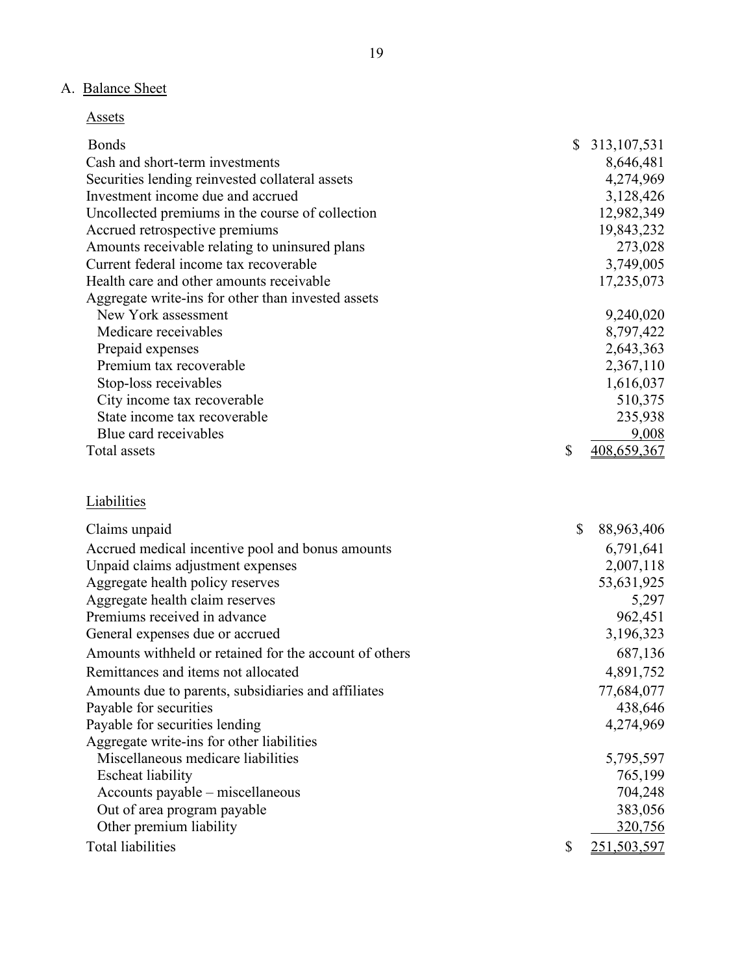## A. Balance Sheet

### Assets

| Cash and short-term investments<br>8,646,481<br>Securities lending reinvested collateral assets<br>4,274,969<br>Investment income due and accrued<br>3,128,426<br>Uncollected premiums in the course of collection<br>12,982,349<br>19,843,232<br>Accrued retrospective premiums<br>273,028<br>Amounts receivable relating to uninsured plans<br>3,749,005<br>Current federal income tax recoverable<br>Health care and other amounts receivable<br>17,235,073<br>Aggregate write-ins for other than invested assets<br>New York assessment<br>9,240,020<br>Medicare receivables<br>8,797,422<br>2,643,363<br>Prepaid expenses<br>Premium tax recoverable<br>2,367,110<br>Stop-loss receivables<br>1,616,037<br>510,375<br>City income tax recoverable<br>235,938<br>State income tax recoverable<br>Blue card receivables<br>9,008<br>\$<br>Total assets<br>408,659,367<br>Liabilities<br>\$<br>88,963,406<br>Claims unpaid<br>6,791,641<br>Accrued medical incentive pool and bonus amounts<br>2,007,118<br>Unpaid claims adjustment expenses<br>53,631,925<br>Aggregate health policy reserves<br>Aggregate health claim reserves<br>5,297<br>Premiums received in advance<br>962,451<br>3,196,323<br>General expenses due or accrued<br>Amounts withheld or retained for the account of others<br>687,136<br>4,891,752<br>Remittances and items not allocated<br>77,684,077<br>Amounts due to parents, subsidiaries and affiliates<br>438,646<br>Payable for securities<br>4,274,969<br>Payable for securities lending<br>Aggregate write-ins for other liabilities<br>Miscellaneous medicare liabilities<br>5,795,597<br><b>Escheat liability</b><br>765,199<br>704,248<br>Accounts payable – miscellaneous<br>Out of area program payable<br>383,056<br>Other premium liability<br>320,756 | <b>Bonds</b>      | \$<br>313, 107, 531 |
|--------------------------------------------------------------------------------------------------------------------------------------------------------------------------------------------------------------------------------------------------------------------------------------------------------------------------------------------------------------------------------------------------------------------------------------------------------------------------------------------------------------------------------------------------------------------------------------------------------------------------------------------------------------------------------------------------------------------------------------------------------------------------------------------------------------------------------------------------------------------------------------------------------------------------------------------------------------------------------------------------------------------------------------------------------------------------------------------------------------------------------------------------------------------------------------------------------------------------------------------------------------------------------------------------------------------------------------------------------------------------------------------------------------------------------------------------------------------------------------------------------------------------------------------------------------------------------------------------------------------------------------------------------------------------------------------------------------------------------------------------------------------------------------------------|-------------------|---------------------|
|                                                                                                                                                                                                                                                                                                                                                                                                                                                                                                                                                                                                                                                                                                                                                                                                                                                                                                                                                                                                                                                                                                                                                                                                                                                                                                                                                                                                                                                                                                                                                                                                                                                                                                                                                                                                  |                   |                     |
|                                                                                                                                                                                                                                                                                                                                                                                                                                                                                                                                                                                                                                                                                                                                                                                                                                                                                                                                                                                                                                                                                                                                                                                                                                                                                                                                                                                                                                                                                                                                                                                                                                                                                                                                                                                                  |                   |                     |
|                                                                                                                                                                                                                                                                                                                                                                                                                                                                                                                                                                                                                                                                                                                                                                                                                                                                                                                                                                                                                                                                                                                                                                                                                                                                                                                                                                                                                                                                                                                                                                                                                                                                                                                                                                                                  |                   |                     |
|                                                                                                                                                                                                                                                                                                                                                                                                                                                                                                                                                                                                                                                                                                                                                                                                                                                                                                                                                                                                                                                                                                                                                                                                                                                                                                                                                                                                                                                                                                                                                                                                                                                                                                                                                                                                  |                   |                     |
|                                                                                                                                                                                                                                                                                                                                                                                                                                                                                                                                                                                                                                                                                                                                                                                                                                                                                                                                                                                                                                                                                                                                                                                                                                                                                                                                                                                                                                                                                                                                                                                                                                                                                                                                                                                                  |                   |                     |
|                                                                                                                                                                                                                                                                                                                                                                                                                                                                                                                                                                                                                                                                                                                                                                                                                                                                                                                                                                                                                                                                                                                                                                                                                                                                                                                                                                                                                                                                                                                                                                                                                                                                                                                                                                                                  |                   |                     |
|                                                                                                                                                                                                                                                                                                                                                                                                                                                                                                                                                                                                                                                                                                                                                                                                                                                                                                                                                                                                                                                                                                                                                                                                                                                                                                                                                                                                                                                                                                                                                                                                                                                                                                                                                                                                  |                   |                     |
|                                                                                                                                                                                                                                                                                                                                                                                                                                                                                                                                                                                                                                                                                                                                                                                                                                                                                                                                                                                                                                                                                                                                                                                                                                                                                                                                                                                                                                                                                                                                                                                                                                                                                                                                                                                                  |                   |                     |
|                                                                                                                                                                                                                                                                                                                                                                                                                                                                                                                                                                                                                                                                                                                                                                                                                                                                                                                                                                                                                                                                                                                                                                                                                                                                                                                                                                                                                                                                                                                                                                                                                                                                                                                                                                                                  |                   |                     |
|                                                                                                                                                                                                                                                                                                                                                                                                                                                                                                                                                                                                                                                                                                                                                                                                                                                                                                                                                                                                                                                                                                                                                                                                                                                                                                                                                                                                                                                                                                                                                                                                                                                                                                                                                                                                  |                   |                     |
|                                                                                                                                                                                                                                                                                                                                                                                                                                                                                                                                                                                                                                                                                                                                                                                                                                                                                                                                                                                                                                                                                                                                                                                                                                                                                                                                                                                                                                                                                                                                                                                                                                                                                                                                                                                                  |                   |                     |
|                                                                                                                                                                                                                                                                                                                                                                                                                                                                                                                                                                                                                                                                                                                                                                                                                                                                                                                                                                                                                                                                                                                                                                                                                                                                                                                                                                                                                                                                                                                                                                                                                                                                                                                                                                                                  |                   |                     |
|                                                                                                                                                                                                                                                                                                                                                                                                                                                                                                                                                                                                                                                                                                                                                                                                                                                                                                                                                                                                                                                                                                                                                                                                                                                                                                                                                                                                                                                                                                                                                                                                                                                                                                                                                                                                  |                   |                     |
|                                                                                                                                                                                                                                                                                                                                                                                                                                                                                                                                                                                                                                                                                                                                                                                                                                                                                                                                                                                                                                                                                                                                                                                                                                                                                                                                                                                                                                                                                                                                                                                                                                                                                                                                                                                                  |                   |                     |
|                                                                                                                                                                                                                                                                                                                                                                                                                                                                                                                                                                                                                                                                                                                                                                                                                                                                                                                                                                                                                                                                                                                                                                                                                                                                                                                                                                                                                                                                                                                                                                                                                                                                                                                                                                                                  |                   |                     |
|                                                                                                                                                                                                                                                                                                                                                                                                                                                                                                                                                                                                                                                                                                                                                                                                                                                                                                                                                                                                                                                                                                                                                                                                                                                                                                                                                                                                                                                                                                                                                                                                                                                                                                                                                                                                  |                   |                     |
|                                                                                                                                                                                                                                                                                                                                                                                                                                                                                                                                                                                                                                                                                                                                                                                                                                                                                                                                                                                                                                                                                                                                                                                                                                                                                                                                                                                                                                                                                                                                                                                                                                                                                                                                                                                                  |                   |                     |
|                                                                                                                                                                                                                                                                                                                                                                                                                                                                                                                                                                                                                                                                                                                                                                                                                                                                                                                                                                                                                                                                                                                                                                                                                                                                                                                                                                                                                                                                                                                                                                                                                                                                                                                                                                                                  |                   |                     |
|                                                                                                                                                                                                                                                                                                                                                                                                                                                                                                                                                                                                                                                                                                                                                                                                                                                                                                                                                                                                                                                                                                                                                                                                                                                                                                                                                                                                                                                                                                                                                                                                                                                                                                                                                                                                  |                   |                     |
|                                                                                                                                                                                                                                                                                                                                                                                                                                                                                                                                                                                                                                                                                                                                                                                                                                                                                                                                                                                                                                                                                                                                                                                                                                                                                                                                                                                                                                                                                                                                                                                                                                                                                                                                                                                                  |                   |                     |
|                                                                                                                                                                                                                                                                                                                                                                                                                                                                                                                                                                                                                                                                                                                                                                                                                                                                                                                                                                                                                                                                                                                                                                                                                                                                                                                                                                                                                                                                                                                                                                                                                                                                                                                                                                                                  |                   |                     |
|                                                                                                                                                                                                                                                                                                                                                                                                                                                                                                                                                                                                                                                                                                                                                                                                                                                                                                                                                                                                                                                                                                                                                                                                                                                                                                                                                                                                                                                                                                                                                                                                                                                                                                                                                                                                  |                   |                     |
|                                                                                                                                                                                                                                                                                                                                                                                                                                                                                                                                                                                                                                                                                                                                                                                                                                                                                                                                                                                                                                                                                                                                                                                                                                                                                                                                                                                                                                                                                                                                                                                                                                                                                                                                                                                                  |                   |                     |
|                                                                                                                                                                                                                                                                                                                                                                                                                                                                                                                                                                                                                                                                                                                                                                                                                                                                                                                                                                                                                                                                                                                                                                                                                                                                                                                                                                                                                                                                                                                                                                                                                                                                                                                                                                                                  |                   |                     |
|                                                                                                                                                                                                                                                                                                                                                                                                                                                                                                                                                                                                                                                                                                                                                                                                                                                                                                                                                                                                                                                                                                                                                                                                                                                                                                                                                                                                                                                                                                                                                                                                                                                                                                                                                                                                  |                   |                     |
|                                                                                                                                                                                                                                                                                                                                                                                                                                                                                                                                                                                                                                                                                                                                                                                                                                                                                                                                                                                                                                                                                                                                                                                                                                                                                                                                                                                                                                                                                                                                                                                                                                                                                                                                                                                                  |                   |                     |
|                                                                                                                                                                                                                                                                                                                                                                                                                                                                                                                                                                                                                                                                                                                                                                                                                                                                                                                                                                                                                                                                                                                                                                                                                                                                                                                                                                                                                                                                                                                                                                                                                                                                                                                                                                                                  |                   |                     |
|                                                                                                                                                                                                                                                                                                                                                                                                                                                                                                                                                                                                                                                                                                                                                                                                                                                                                                                                                                                                                                                                                                                                                                                                                                                                                                                                                                                                                                                                                                                                                                                                                                                                                                                                                                                                  |                   |                     |
|                                                                                                                                                                                                                                                                                                                                                                                                                                                                                                                                                                                                                                                                                                                                                                                                                                                                                                                                                                                                                                                                                                                                                                                                                                                                                                                                                                                                                                                                                                                                                                                                                                                                                                                                                                                                  |                   |                     |
|                                                                                                                                                                                                                                                                                                                                                                                                                                                                                                                                                                                                                                                                                                                                                                                                                                                                                                                                                                                                                                                                                                                                                                                                                                                                                                                                                                                                                                                                                                                                                                                                                                                                                                                                                                                                  |                   |                     |
|                                                                                                                                                                                                                                                                                                                                                                                                                                                                                                                                                                                                                                                                                                                                                                                                                                                                                                                                                                                                                                                                                                                                                                                                                                                                                                                                                                                                                                                                                                                                                                                                                                                                                                                                                                                                  |                   |                     |
|                                                                                                                                                                                                                                                                                                                                                                                                                                                                                                                                                                                                                                                                                                                                                                                                                                                                                                                                                                                                                                                                                                                                                                                                                                                                                                                                                                                                                                                                                                                                                                                                                                                                                                                                                                                                  |                   |                     |
|                                                                                                                                                                                                                                                                                                                                                                                                                                                                                                                                                                                                                                                                                                                                                                                                                                                                                                                                                                                                                                                                                                                                                                                                                                                                                                                                                                                                                                                                                                                                                                                                                                                                                                                                                                                                  |                   |                     |
|                                                                                                                                                                                                                                                                                                                                                                                                                                                                                                                                                                                                                                                                                                                                                                                                                                                                                                                                                                                                                                                                                                                                                                                                                                                                                                                                                                                                                                                                                                                                                                                                                                                                                                                                                                                                  |                   |                     |
|                                                                                                                                                                                                                                                                                                                                                                                                                                                                                                                                                                                                                                                                                                                                                                                                                                                                                                                                                                                                                                                                                                                                                                                                                                                                                                                                                                                                                                                                                                                                                                                                                                                                                                                                                                                                  |                   |                     |
|                                                                                                                                                                                                                                                                                                                                                                                                                                                                                                                                                                                                                                                                                                                                                                                                                                                                                                                                                                                                                                                                                                                                                                                                                                                                                                                                                                                                                                                                                                                                                                                                                                                                                                                                                                                                  |                   |                     |
|                                                                                                                                                                                                                                                                                                                                                                                                                                                                                                                                                                                                                                                                                                                                                                                                                                                                                                                                                                                                                                                                                                                                                                                                                                                                                                                                                                                                                                                                                                                                                                                                                                                                                                                                                                                                  |                   |                     |
|                                                                                                                                                                                                                                                                                                                                                                                                                                                                                                                                                                                                                                                                                                                                                                                                                                                                                                                                                                                                                                                                                                                                                                                                                                                                                                                                                                                                                                                                                                                                                                                                                                                                                                                                                                                                  |                   |                     |
|                                                                                                                                                                                                                                                                                                                                                                                                                                                                                                                                                                                                                                                                                                                                                                                                                                                                                                                                                                                                                                                                                                                                                                                                                                                                                                                                                                                                                                                                                                                                                                                                                                                                                                                                                                                                  |                   |                     |
|                                                                                                                                                                                                                                                                                                                                                                                                                                                                                                                                                                                                                                                                                                                                                                                                                                                                                                                                                                                                                                                                                                                                                                                                                                                                                                                                                                                                                                                                                                                                                                                                                                                                                                                                                                                                  | Total liabilities | \$<br>251,503,597   |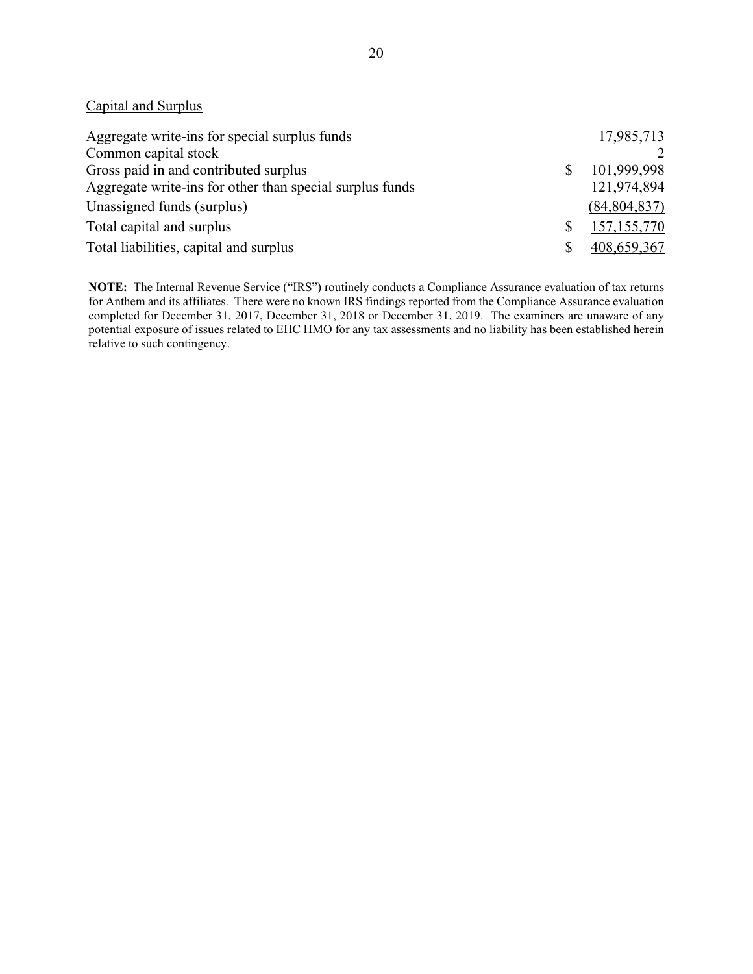#### Capital and Surplus

| Aggregate write-ins for special surplus funds            |   | 17,985,713     |
|----------------------------------------------------------|---|----------------|
| Common capital stock                                     |   |                |
| Gross paid in and contributed surplus                    |   | 101,999,998    |
| Aggregate write-ins for other than special surplus funds |   | 121,974,894    |
| Unassigned funds (surplus)                               |   | (84, 804, 837) |
| Total capital and surplus                                |   | 157, 155, 770  |
| Total liabilities, capital and surplus                   | S | 408,659,367    |

**NOTE:** The Internal Revenue Service ("IRS") routinely conducts a Compliance Assurance evaluation of tax returns for Anthem and its affiliates. There were no known IRS findings reported from the Compliance Assurance evaluation completed for December 31, 2017, December 31, 2018 or December 31, 2019. The examiners are unaware of any potential exposure of issues related to EHC HMO for any tax assessments and no liability has been established herein relative to such contingency.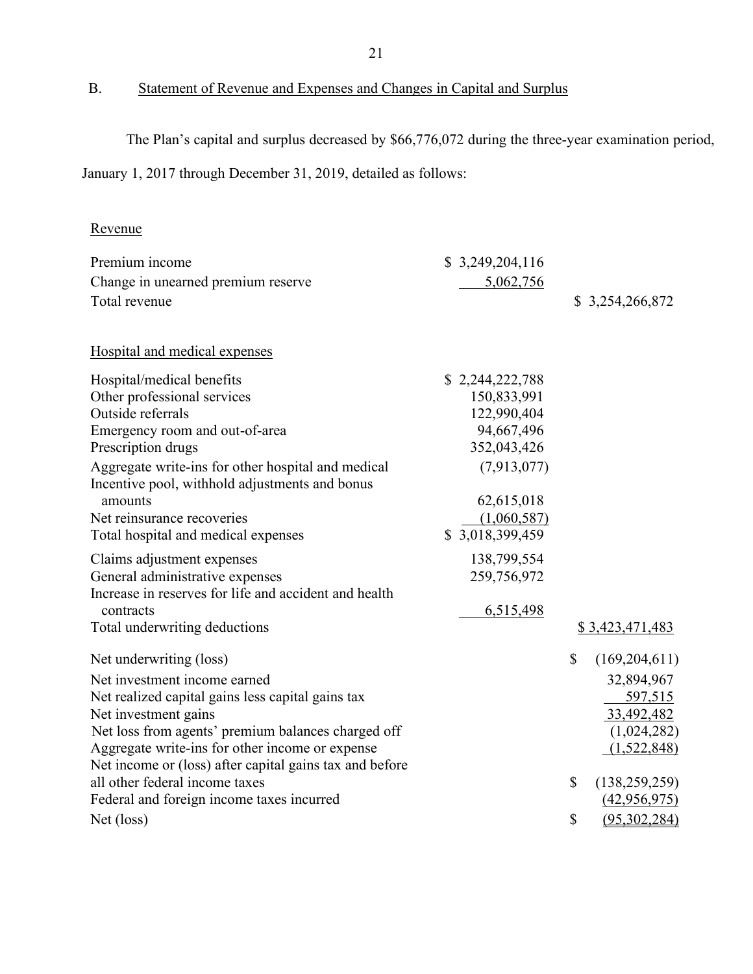B. Statement of Revenue and Expenses and Changes in Capital and Surplus

The Plan's capital and surplus decreased by \$66,776,072 during the three-year examination period,

January 1, 2017 through December 31, 2019, detailed as follows:

### Revenue

| Premium income                                          | \$3,249,204,116 |                       |
|---------------------------------------------------------|-----------------|-----------------------|
| Change in unearned premium reserve                      | 5,062,756       |                       |
| Total revenue                                           |                 | \$3,254,266,872       |
|                                                         |                 |                       |
|                                                         |                 |                       |
| Hospital and medical expenses                           |                 |                       |
| Hospital/medical benefits                               | \$2,244,222,788 |                       |
| Other professional services                             | 150,833,991     |                       |
| Outside referrals                                       | 122,990,404     |                       |
| Emergency room and out-of-area                          | 94,667,496      |                       |
| Prescription drugs                                      | 352,043,426     |                       |
| Aggregate write-ins for other hospital and medical      | (7,913,077)     |                       |
| Incentive pool, withhold adjustments and bonus          |                 |                       |
| amounts                                                 | 62,615,018      |                       |
| Net reinsurance recoveries                              | (1,060,587)     |                       |
| Total hospital and medical expenses                     | \$3,018,399,459 |                       |
| Claims adjustment expenses                              | 138,799,554     |                       |
| General administrative expenses                         | 259,756,972     |                       |
| Increase in reserves for life and accident and health   |                 |                       |
| contracts                                               | 6,515,498       |                       |
| Total underwriting deductions                           |                 | \$3,423,471,483       |
|                                                         |                 |                       |
| Net underwriting (loss)                                 |                 | \$<br>(169, 204, 611) |
| Net investment income earned                            |                 | 32,894,967            |
| Net realized capital gains less capital gains tax       |                 | 597,515               |
| Net investment gains                                    |                 | 33,492,482            |
| Net loss from agents' premium balances charged off      |                 | (1,024,282)           |
| Aggregate write-ins for other income or expense         |                 | (1,522,848)           |
| Net income or (loss) after capital gains tax and before |                 |                       |
| all other federal income taxes                          |                 | \$<br>(138, 259, 259) |
| Federal and foreign income taxes incurred               |                 | (42, 956, 975)        |
| Net (loss)                                              |                 | \$<br>(95,302,284)    |
|                                                         |                 |                       |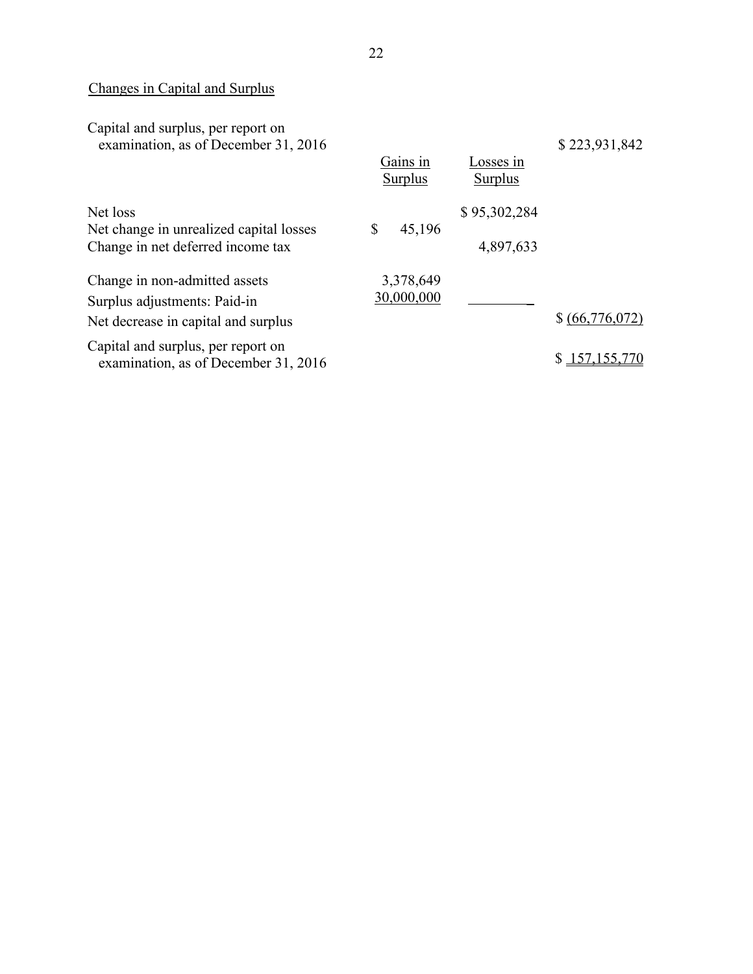## Changes in Capital and Surplus

| Capital and surplus, per report on<br>examination, as of December 31, 2016 | Gains in                | Losses in    | \$223,931,842   |
|----------------------------------------------------------------------------|-------------------------|--------------|-----------------|
|                                                                            | Surplus                 | Surplus      |                 |
| Net loss<br>Net change in unrealized capital losses                        | \$<br>45,196            | \$95,302,284 |                 |
| Change in net deferred income tax                                          |                         | 4,897,633    |                 |
| Change in non-admitted assets                                              | 3,378,649<br>30,000,000 |              |                 |
| Surplus adjustments: Paid-in<br>Net decrease in capital and surplus        |                         |              | \$ (66,776,072) |
| Capital and surplus, per report on<br>examination, as of December 31, 2016 |                         |              | \$157,155,770   |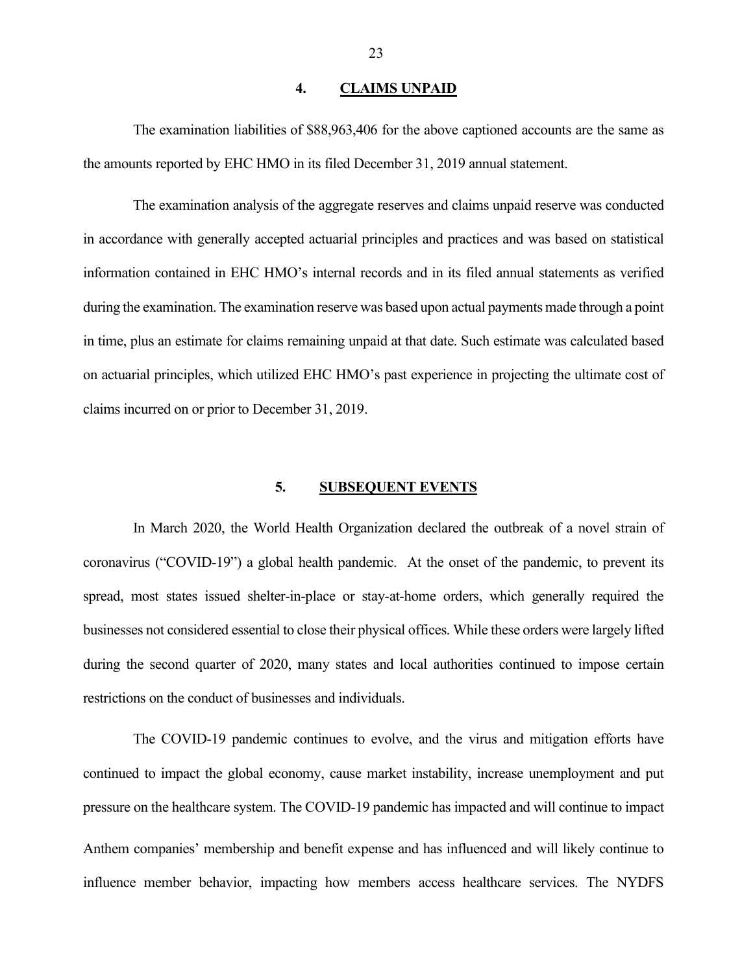#### **4. CLAIMS UNPAID**

The examination liabilities of \$88,963,406 for the above captioned accounts are the same as the amounts reported by EHC HMO in its filed December 31, 2019 annual statement.

The examination analysis of the aggregate reserves and claims unpaid reserve was conducted in accordance with generally accepted actuarial principles and practices and was based on statistical information contained in EHC HMO's internal records and in its filed annual statements as verified during the examination. The examination reserve was based upon actual payments made through a point in time, plus an estimate for claims remaining unpaid at that date. Such estimate was calculated based on actuarial principles, which utilized EHC HMO's past experience in projecting the ultimate cost of claims incurred on or prior to December 31, 2019.

#### **5. SUBSEQUENT EVENTS**

In March 2020, the World Health Organization declared the outbreak of a novel strain of coronavirus ("COVID-19") a global health pandemic. At the onset of the pandemic, to prevent its spread, most states issued shelter-in-place or stay-at-home orders, which generally required the businesses not considered essential to close their physical offices. While these orders were largely lifted during the second quarter of 2020, many states and local authorities continued to impose certain restrictions on the conduct of businesses and individuals.

The COVID-19 pandemic continues to evolve, and the virus and mitigation efforts have continued to impact the global economy, cause market instability, increase unemployment and put pressure on the healthcare system. The COVID-19 pandemic has impacted and will continue to impact Anthem companies' membership and benefit expense and has influenced and will likely continue to influence member behavior, impacting how members access healthcare services. The NYDFS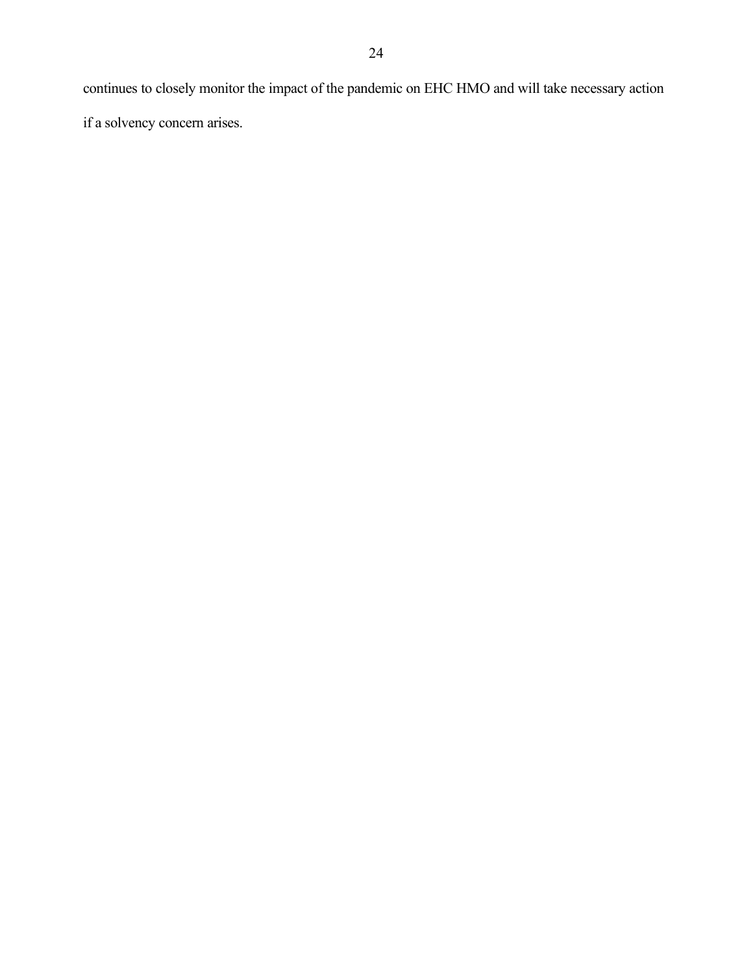continues to closely monitor the impact of the pandemic on EHC HMO and will take necessary action if a solvency concern arises.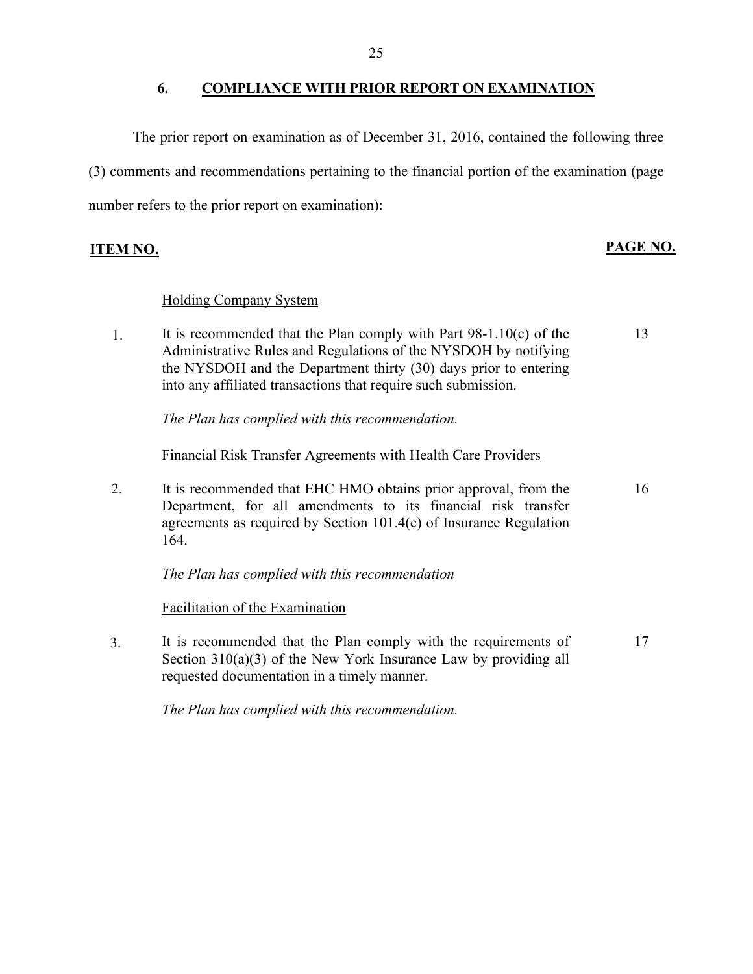#### **6. COMPLIANCE WITH PRIOR REPORT ON EXAMINATION**

The prior report on examination as of December 31, 2016, contained the following three (3) comments and recommendations pertaining to the financial portion of the examination (page number refers to the prior report on examination):

 **ITEM NO. PAGE NO.**

#### Holding Company System

 1. It is recommended that the Plan comply with Part 98-1.10(c) of the Administrative Rules and Regulations of the NYSDOH by notifying the NYSDOH and the Department thirty (30) days prior to entering into any affiliated transactions that require such submission. 13

*The Plan has complied with this recommendation.*

Financial Risk Transfer Agreements with Health Care Providers

2. It is recommended that EHC HMO obtains prior approval, from the Department, for all amendments to its financial risk transfer agreements as required by Section 101.4(c) of Insurance Regulation 164. 16

*The Plan has complied with this recommendation*

Facilitation of the Examination

 3. It is recommended that the Plan comply with the requirements of Section  $310(a)(3)$  of the New York Insurance Law by providing all requested documentation in a timely manner. 17

*The Plan has complied with this recommendation.*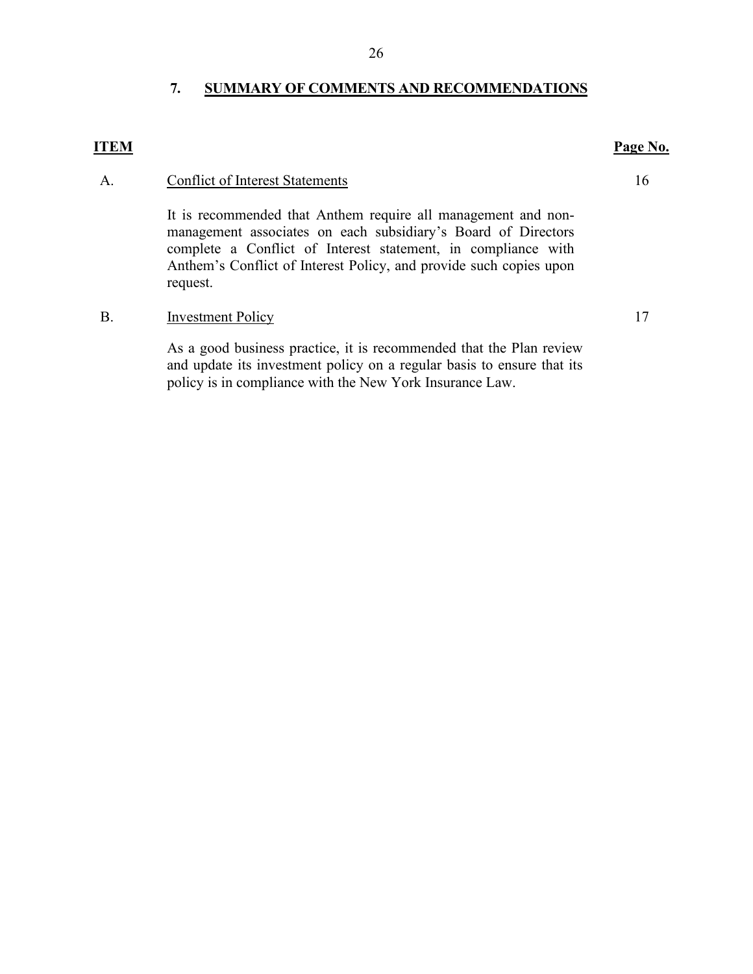### **7. SUMMARY OF COMMENTS AND RECOMMENDATIONS**

#### **ITEM Page No.**

#### A. Conflict of Interest Statements 16

It is recommended that Anthem require all management and nonmanagement associates on each subsidiary's Board of Directors complete a Conflict of Interest statement, in compliance with Anthem's Conflict of Interest Policy, and provide such copies upon request.

#### B. Investment Policy 17

As a good business practice, it is recommended that the Plan review and update its investment policy on a regular basis to ensure that its policy is in compliance with the New York Insurance Law.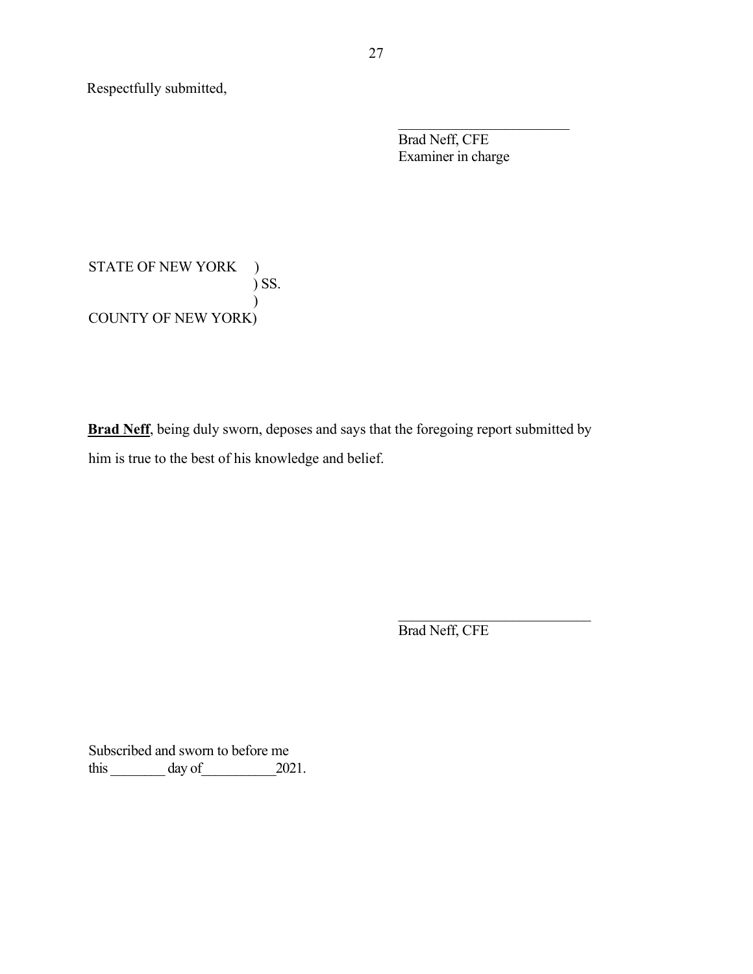Respectfully submitted,

Brad Neff, CFE Examiner in charge

\_\_\_\_\_\_\_\_\_\_\_\_\_\_\_\_\_\_\_\_\_\_\_\_

STATE OF NEW YORK ) ) SS.  $\overline{\phantom{a}}$ COUNTY OF NEW YORK)

**Brad Neff**, being duly sworn, deposes and says that the foregoing report submitted by him is true to the best of his knowledge and belief.

Brad Neff, CFE

Subscribed and sworn to before me this day of 2021.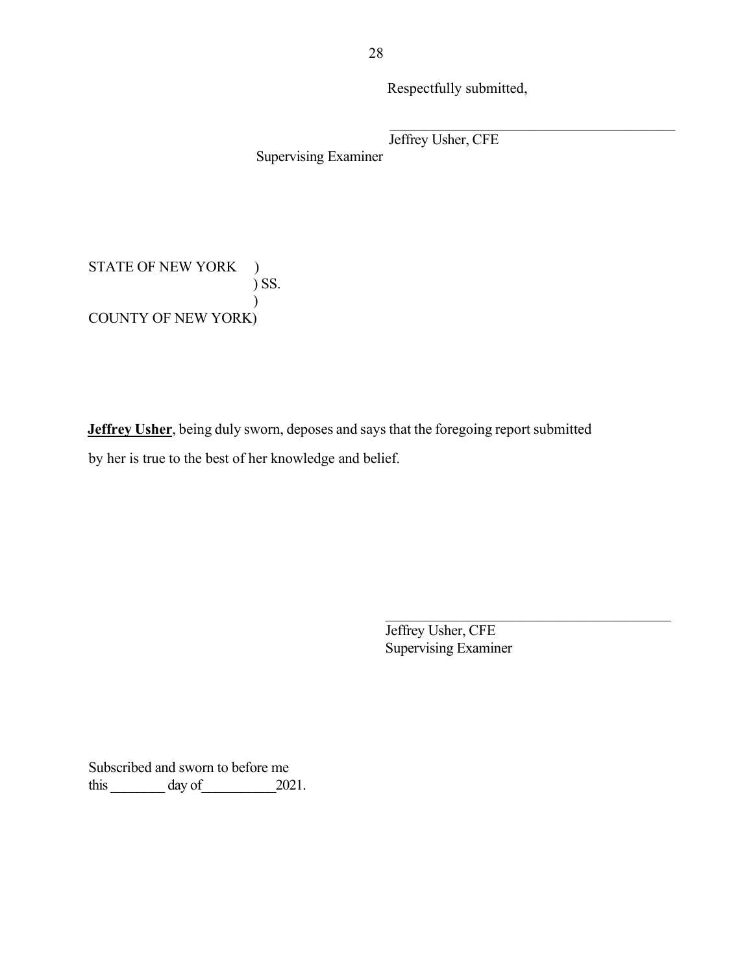Respectfully submitted,

 $\overline{\phantom{a}}$  ,  $\overline{\phantom{a}}$  ,  $\overline{\phantom{a}}$  ,  $\overline{\phantom{a}}$  ,  $\overline{\phantom{a}}$  ,  $\overline{\phantom{a}}$  ,  $\overline{\phantom{a}}$  ,  $\overline{\phantom{a}}$  ,  $\overline{\phantom{a}}$  ,  $\overline{\phantom{a}}$  ,  $\overline{\phantom{a}}$  ,  $\overline{\phantom{a}}$  ,  $\overline{\phantom{a}}$  ,  $\overline{\phantom{a}}$  ,  $\overline{\phantom{a}}$  ,  $\overline{\phantom{a}}$ Jeffrey Usher, CFE

Supervising Examiner

STATE OF NEW YORK ) ) SS.  $\overline{\phantom{a}}$ COUNTY OF NEW YORK)

**Jeffrey Usher**, being duly sworn, deposes and says that the foregoing report submitted by her is true to the best of her knowledge and belief.

> Jeffrey Usher, CFE Supervising Examiner

Subscribed and sworn to before me this day of 2021.